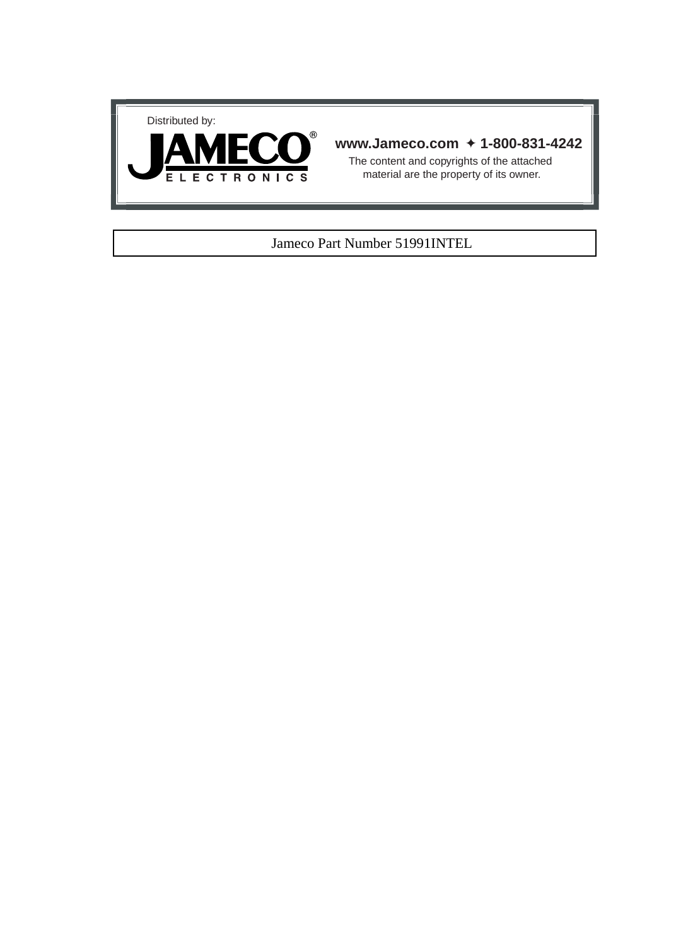



# **www.Jameco.com** ✦ **1-800-831-4242**

The content and copyrights of the attached material are the property of its owner.

# Jameco Part Number 51991INTEL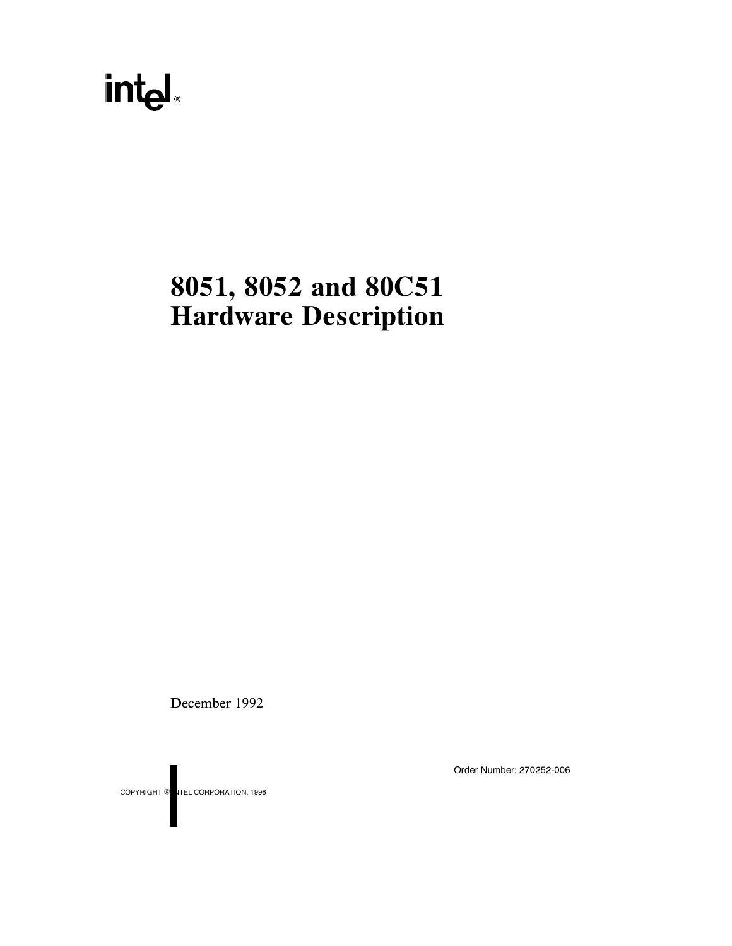# int<sub>el</sub>

# 8051, 8052 and 80C51 Hardware Description

December 1992

COPYRIGHT © ITEL CORPORATION, 1996

Order Number: 270252-006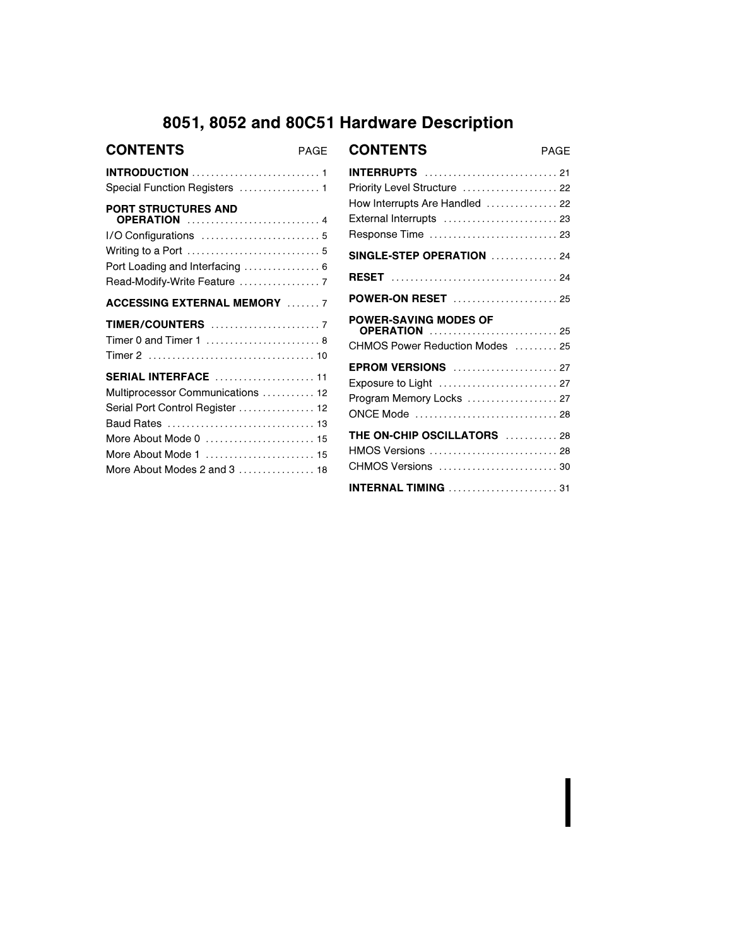# 8051, 8052 and 80C51 Hardware Description

| <b>CONTENTS</b>                                                                                                                                                                                         | PAGE |
|---------------------------------------------------------------------------------------------------------------------------------------------------------------------------------------------------------|------|
| Special Function Registers  1                                                                                                                                                                           |      |
| PORT STRUCTURES AND<br><b>OPERATION</b> 4<br>Port Loading and Interfacing  6                                                                                                                            |      |
| <b>ACCESSING EXTERNAL MEMORY</b> 7                                                                                                                                                                      |      |
|                                                                                                                                                                                                         |      |
| Timer 0 and Timer 1 $\dots\dots\dots\dots\dots\dots\dots$ 8                                                                                                                                             |      |
| <b>SERIAL INTERFACE</b> 11<br>Multiprocessor Communications  12<br>Serial Port Control Register  12<br>Baud Rates  13<br>More About Mode 0  15<br>More About Mode 1  15<br>More About Modes 2 and 3  18 |      |

| <b>CONTENTS</b>                                                                                                                        | PAGF |
|----------------------------------------------------------------------------------------------------------------------------------------|------|
| <b>INTERRUPTS</b> 21<br>Priority Level Structure  22<br>How Interrupts Are Handled  22<br>External Interrupts  23<br>Response Time  23 |      |
| <b>SINGLE-STEP OPERATION</b> 24                                                                                                        |      |
|                                                                                                                                        |      |
| <b>POWER-ON RESET</b> 25                                                                                                               |      |
| <b>POWER-SAVING MODES OF</b><br><b>OPERATION</b> 25<br>CHMOS Power Reduction Modes  25                                                 |      |
| <b>EPROM VERSIONS</b> 27<br>Exposure to Light  27<br>Program Memory Locks  27<br>ONCE Mode  28                                         |      |
| <b>THE ON-CHIP OSCILLATORS</b> 28<br>HMOS Versions  28<br>CHMOS Versions  30                                                           |      |
|                                                                                                                                        |      |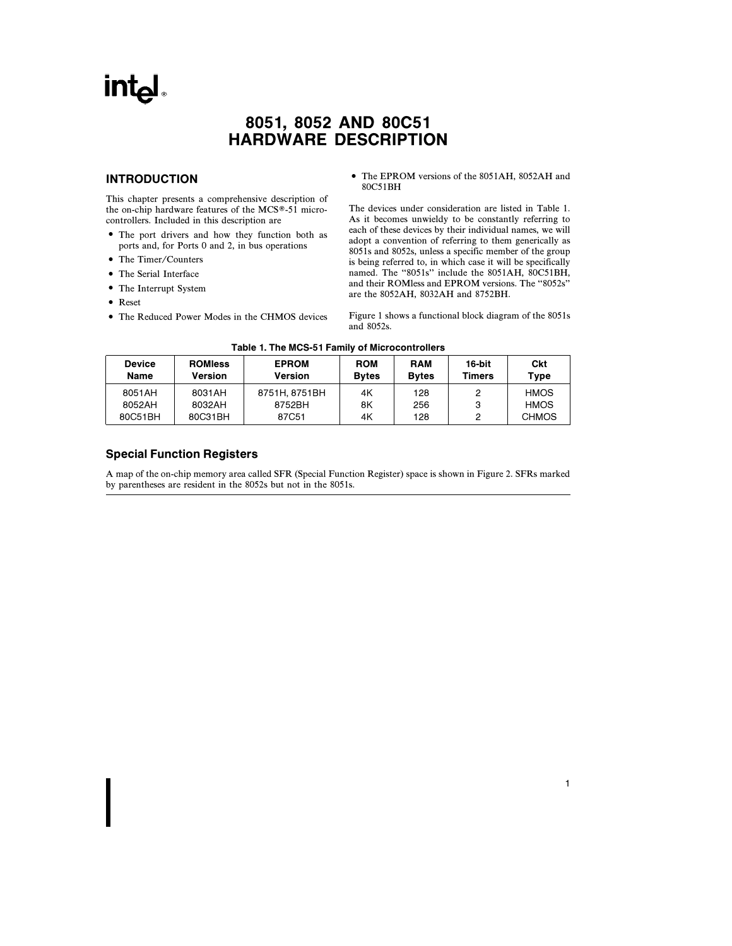# **Intal**

# 8051, 8052 AND 80C51 HARDWARE DESCRIPTION

### INTRODUCTION

This chapter presents a comprehensive description of the on-chip hardware features of the MCS®-51 microcontrollers. Included in this description are

- The port drivers and how they function both as ports and, for Ports 0 and 2, in bus operations
- The Timer/Counters
- The Serial Interface
- The Interrupt System
- Reset
- The Reduced Power Modes in the CHMOS devices

• The EPROM versions of the 8051AH, 8052AH and 80C51BH

The devices under consideration are listed in Table 1. As it becomes unwieldy to be constantly referring to each of these devices by their individual names, we will adopt a convention of referring to them generically as 8051s and 8052s, unless a specific member of the group is being referred to, in which case it will be specifically named. The "8051s" include the 8051AH, 80C51BH, and their ROMless and EPROM versions. The ''8052s'' are the 8052AH, 8032AH and 8752BH.

Figure 1 shows a functional block diagram of the 8051s and 8052s.

1

| Table 1. The MCS-51 Family of Microcontrollers |  |
|------------------------------------------------|--|
|------------------------------------------------|--|

| <b>Device</b><br>Name | <b>ROMIess</b><br><b>Version</b> | <b>EPROM</b><br>Version | <b>ROM</b><br><b>Bytes</b> | <b>RAM</b><br><b>Bytes</b> | 16-bit<br><b>Timers</b> | Ckt<br>Type  |
|-----------------------|----------------------------------|-------------------------|----------------------------|----------------------------|-------------------------|--------------|
| 8051AH                | 8031AH                           | 8751H, 8751BH           | 4K                         | 128                        | 2                       | <b>HMOS</b>  |
| 8052AH                | 8032AH                           | 8752BH                  | 8Κ                         | 256                        | 3                       | <b>HMOS</b>  |
| 80C51BH               | 80C31BH                          | 87C51                   | 4K                         | 128                        | 2                       | <b>CHMOS</b> |

## Special Function Registers

A map of the on-chip memory area called SFR (Special Function Register) space is shown in Figure 2. SFRs marked by parentheses are resident in the 8052s but not in the 8051s.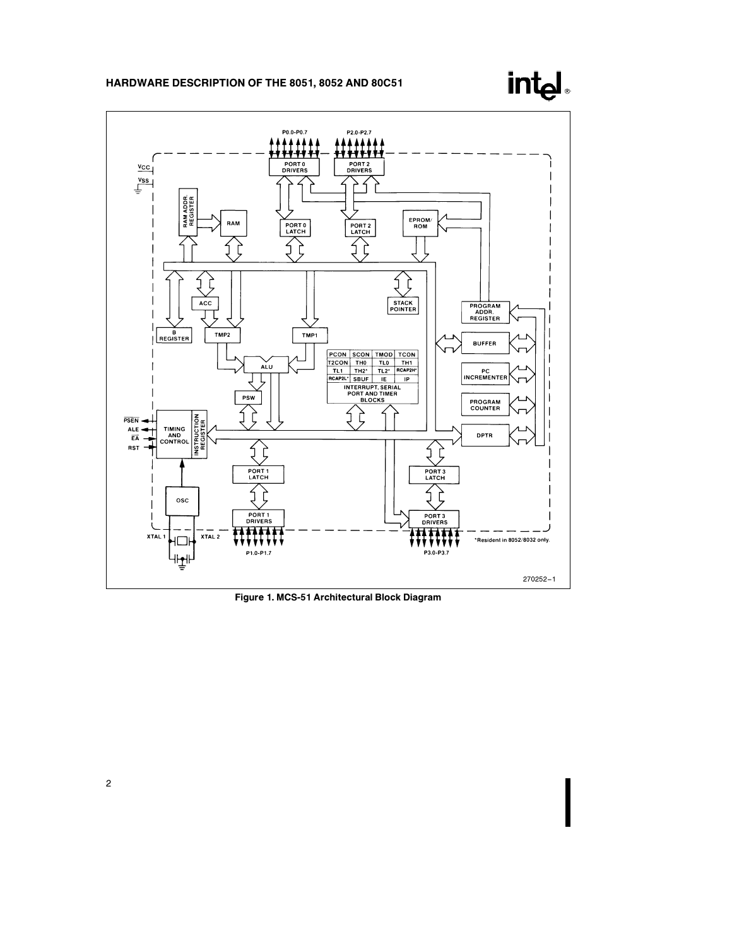



Figure 1. MCS-51 Architectural Block Diagram

2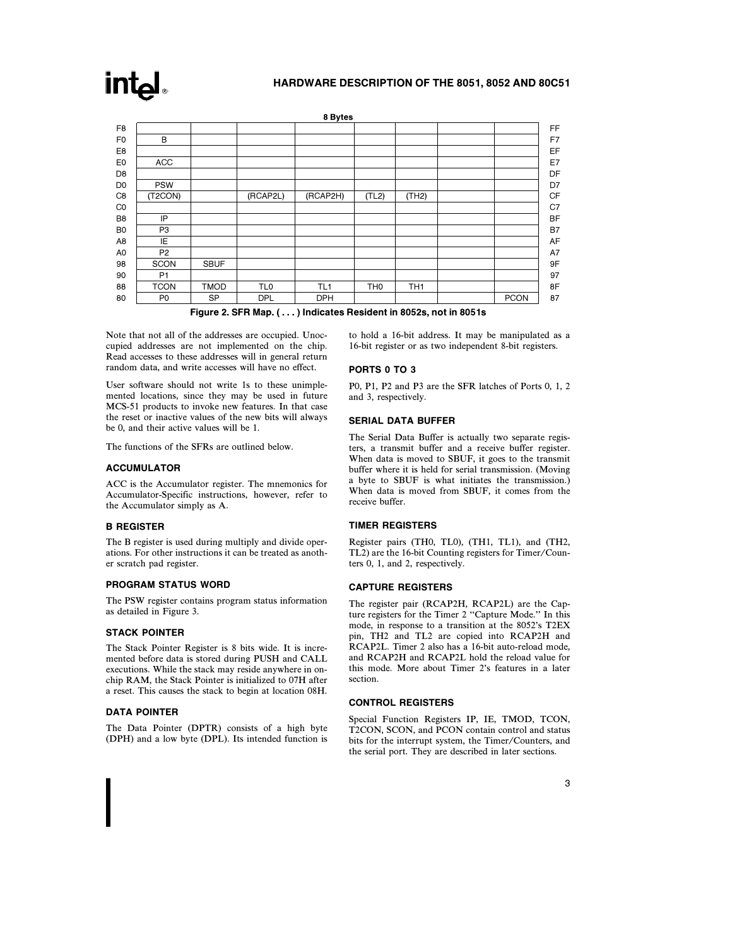

Figure 2. SFR Map. ( . . . ) Indicates Resident in 8052s, not in 8051s

Note that not all of the addresses are occupied. Unoccupied addresses are not implemented on the chip. Read accesses to these addresses will in general return random data, and write accesses will have no effect.

User software should not write 1s to these unimplemented locations, since they may be used in future MCS-51 products to invoke new features. In that case the reset or inactive values of the new bits will always be 0, and their active values will be 1.

The functions of the SFRs are outlined below.

#### ACCUMULATOR

**intel** 

ACC is the Accumulator register. The mnemonics for Accumulator-Specific instructions, however, refer to the Accumulator simply as A.

#### B REGISTER

The B register is used during multiply and divide operations. For other instructions it can be treated as another scratch pad register.

#### PROGRAM STATUS WORD

The PSW register contains program status information as detailed in Figure 3.

#### STACK POINTER

The Stack Pointer Register is 8 bits wide. It is incremented before data is stored during PUSH and CALL executions. While the stack may reside anywhere in onchip RAM, the Stack Pointer is initialized to 07H after a reset. This causes the stack to begin at location 08H.

#### DATA POINTER

The Data Pointer (DPTR) consists of a high byte (DPH) and a low byte (DPL). Its intended function is to hold a 16-bit address. It may be manipulated as a 16-bit register or as two independent 8-bit registers.

#### PORTS 0 TO 3

P0, P1, P2 and P3 are the SFR latches of Ports 0, 1, 2 and 3, respectively.

#### SERIAL DATA BUFFER

The Serial Data Buffer is actually two separate registers, a transmit buffer and a receive buffer register. When data is moved to SBUF, it goes to the transmit buffer where it is held for serial transmission. (Moving a byte to SBUF is what initiates the transmission.) When data is moved from SBUF, it comes from the receive buffer.

#### TIMER REGISTERS

Register pairs (TH0, TL0), (TH1, TL1), and (TH2, TL2) are the 16-bit Counting registers for Timer/Counters 0, 1, and 2, respectively.

#### CAPTURE REGISTERS

The register pair (RCAP2H, RCAP2L) are the Capture registers for the Timer 2 "Capture Mode." In this mode, in response to a transition at the 8052's T2EX pin, TH2 and TL2 are copied into RCAP2H and RCAP2L. Timer 2 also has a 16-bit auto-reload mode, and RCAP2H and RCAP2L hold the reload value for this mode. More about Timer 2's features in a later section.

#### CONTROL REGISTERS

Special Function Registers IP, IE, TMOD, TCON, T2CON, SCON, and PCON contain control and status bits for the interrupt system, the Timer/Counters, and the serial port. They are described in later sections.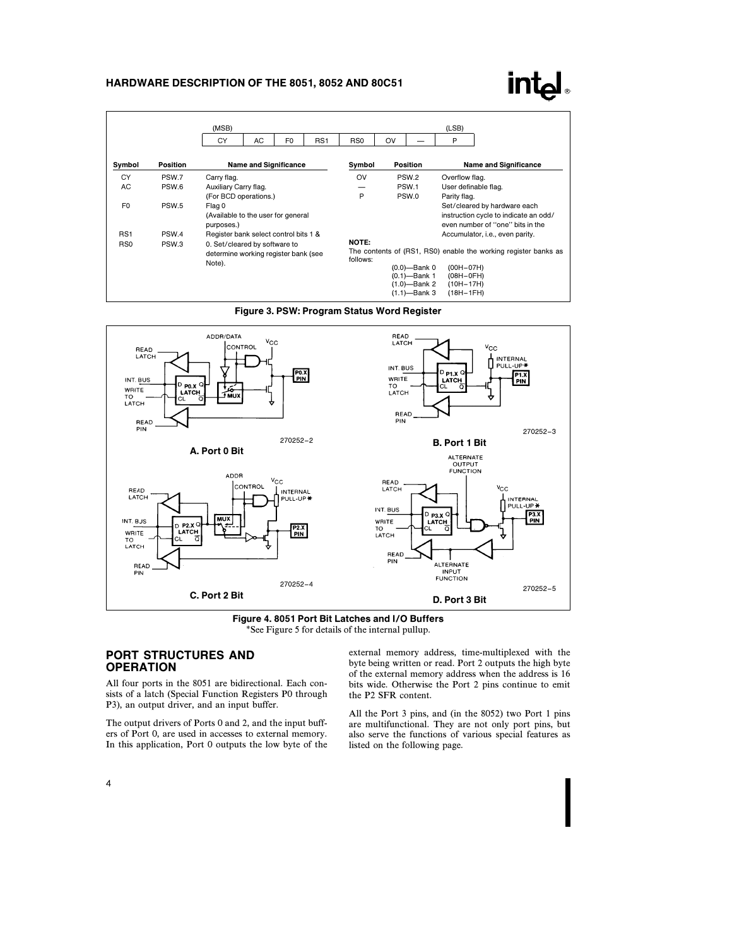# **intel**

|                                                                              |          | (MSB)                                                                           |                              |                |                          |                 |                                                                 |                                                                                                                               | (LSB)                                                                                                     |
|------------------------------------------------------------------------------|----------|---------------------------------------------------------------------------------|------------------------------|----------------|--------------------------|-----------------|-----------------------------------------------------------------|-------------------------------------------------------------------------------------------------------------------------------|-----------------------------------------------------------------------------------------------------------|
|                                                                              |          | CY                                                                              | AC                           | F <sub>0</sub> | RS <sub>1</sub>          | RS <sub>0</sub> | OV                                                              |                                                                                                                               | P                                                                                                         |
| Symbol                                                                       | Position |                                                                                 | <b>Name and Significance</b> |                |                          | Symbol          |                                                                 | Position                                                                                                                      | <b>Name and Significance</b>                                                                              |
| CY                                                                           | PSW.7    | Carry flag.                                                                     |                              |                |                          | OV              |                                                                 | PSW <sub>2</sub>                                                                                                              | Overflow flag.                                                                                            |
| AC.                                                                          | PSW.6    | Auxiliary Carry flag.                                                           |                              |                |                          |                 |                                                                 | PSW.1                                                                                                                         | User definable flag.                                                                                      |
|                                                                              |          | (For BCD operations.)                                                           |                              |                |                          | P               |                                                                 | PSW.0                                                                                                                         | Parity flag.                                                                                              |
| F <sub>0</sub>                                                               | PSW.5    | Flag 0<br>(Available to the user for general<br>purposes.)                      |                              |                |                          |                 |                                                                 |                                                                                                                               | Set/cleared by hardware each<br>instruction cycle to indicate an odd/<br>even number of "one" bits in the |
| RS <sub>1</sub><br>PSW <sub>4</sub><br>Register bank select control bits 1 & |          |                                                                                 |                              |                |                          |                 |                                                                 |                                                                                                                               | Accumulator, i.e., even parity.                                                                           |
| R <sub>S0</sub>                                                              | PSW.3    | 0. Set/cleared by software to<br>determine working register bank (see<br>Note). |                              |                | <b>NOTE:</b><br>follows: |                 | $(0.0)$ -Bank 0<br>(0.1)-Bank 1<br>(1.0)—Bank 2<br>(1.1)-Bank 3 | The contents of (RS1, RS0) enable the working register banks as<br>$(00H-07H)$<br>$(OBH-OFH)$<br>$(10H - 17H)$<br>$(18H-1FH)$ |                                                                                                           |







## PORT STRUCTURES AND **OPERATION**

All four ports in the 8051 are bidirectional. Each consists of a latch (Special Function Registers P0 through P3), an output driver, and an input buffer.

The output drivers of Ports 0 and 2, and the input buffers of Port 0, are used in accesses to external memory. In this application, Port 0 outputs the low byte of the external memory address, time-multiplexed with the byte being written or read. Port 2 outputs the high byte of the external memory address when the address is 16 bits wide. Otherwise the Port 2 pins continue to emit the P2 SFR content.

All the Port 3 pins, and (in the 8052) two Port 1 pins are multifunctional. They are not only port pins, but also serve the functions of various special features as listed on the following page.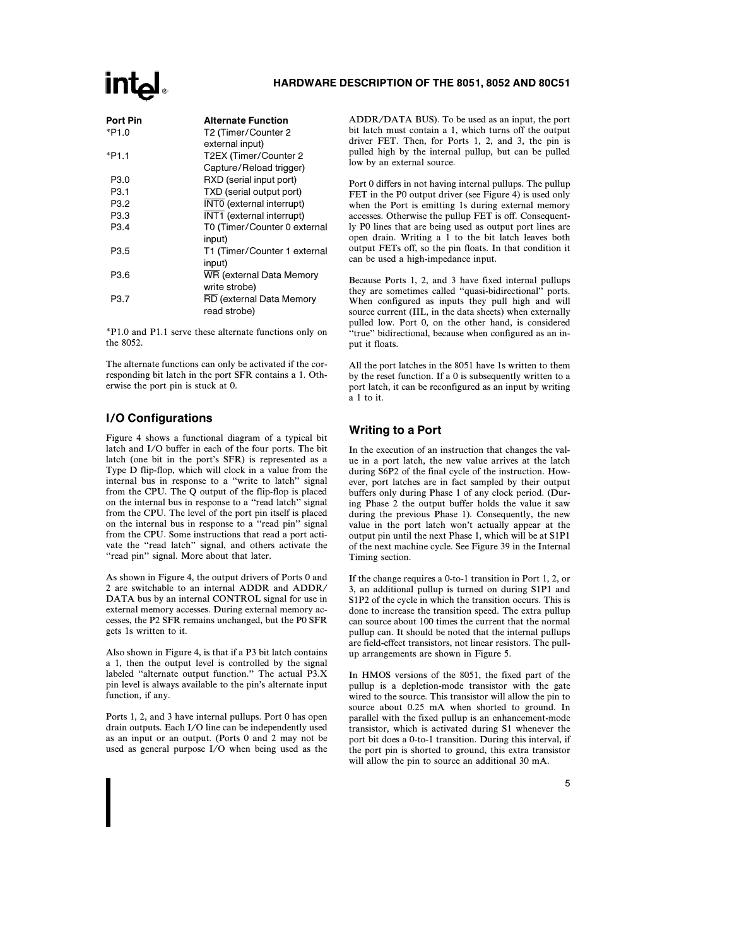# **Intal**

| Port Pin         | <b>Alternate Function</b>    |
|------------------|------------------------------|
| *P1.0            | T2 (Timer/Counter 2          |
|                  | external input)              |
| *P1.1            | T2EX (Timer/Counter 2        |
|                  | Capture/Reload trigger)      |
| P3.0             | RXD (serial input port)      |
| P <sub>3.1</sub> | TXD (serial output port)     |
| P3.2             | INT0 (external interrupt)    |
| P3.3             | INT1 (external interrupt)    |
| P3.4             | T0 (Timer/Counter 0 external |
|                  | input)                       |
| P3.5             | T1 (Timer/Counter 1 external |
|                  | input)                       |
| P3.6             | WR (external Data Memory     |
|                  | write strobe)                |
| P3.7             | RD (external Data Memory     |
|                  | read strobe)                 |
|                  |                              |

\*P1.0 and P1.1 serve these alternate functions only on the 8052.

The alternate functions can only be activated if the corresponding bit latch in the port SFR contains a 1. Otherwise the port pin is stuck at 0.

# I/O Configurations

Figure 4 shows a functional diagram of a typical bit latch and I/O buffer in each of the four ports. The bit latch (one bit in the port's SFR) is represented as a Type D flip-flop, which will clock in a value from the internal bus in response to a ''write to latch'' signal from the CPU. The Q output of the flip-flop is placed on the internal bus in response to a ''read latch'' signal from the CPU. The level of the port pin itself is placed on the internal bus in response to a ''read pin'' signal from the CPU. Some instructions that read a port activate the "read latch" signal, and others activate the "read pin" signal. More about that later.

As shown in Figure 4, the output drivers of Ports 0 and 2 are switchable to an internal ADDR and ADDR/ DATA bus by an internal CONTROL signal for use in external memory accesses. During external memory accesses, the P2 SFR remains unchanged, but the P0 SFR gets 1s written to it.

Also shown in Figure 4, is that if a P3 bit latch contains a 1, then the output level is controlled by the signal labeled ''alternate output function.'' The actual P3.X pin level is always available to the pin's alternate input function, if any.

Ports 1, 2, and 3 have internal pullups. Port 0 has open drain outputs. Each I/O line can be independently used as an input or an output. (Ports 0 and 2 may not be used as general purpose I/O when being used as the ADDR/DATA BUS). To be used as an input, the port bit latch must contain a 1, which turns off the output driver FET. Then, for Ports 1, 2, and 3, the pin is pulled high by the internal pullup, but can be pulled low by an external source.

Port 0 differs in not having internal pullups. The pullup FET in the P0 output driver (see Figure 4) is used only when the Port is emitting 1s during external memory accesses. Otherwise the pullup FET is off. Consequently P0 lines that are being used as output port lines are open drain. Writing a 1 to the bit latch leaves both output FETs off, so the pin floats. In that condition it can be used a high-impedance input.

Because Ports 1, 2, and 3 have fixed internal pullups they are sometimes called ''quasi-bidirectional'' ports. When configured as inputs they pull high and will source current (IIL, in the data sheets) when externally pulled low. Port 0, on the other hand, is considered ''true'' bidirectional, because when configured as an input it floats.

All the port latches in the 8051 have 1s written to them by the reset function. If a 0 is subsequently written to a port latch, it can be reconfigured as an input by writing a 1 to it.

# Writing to a Port

In the execution of an instruction that changes the value in a port latch, the new value arrives at the latch during S6P2 of the final cycle of the instruction. However, port latches are in fact sampled by their output buffers only during Phase 1 of any clock period. (During Phase 2 the output buffer holds the value it saw during the previous Phase 1). Consequently, the new value in the port latch won't actually appear at the output pin until the next Phase 1, which will be at S1P1 of the next machine cycle. See Figure 39 in the Internal Timing section.

If the change requires a 0-to-1 transition in Port 1, 2, or 3, an additional pullup is turned on during S1P1 and S1P2 of the cycle in which the transition occurs. This is done to increase the transition speed. The extra pullup can source about 100 times the current that the normal pullup can. It should be noted that the internal pullups are field-effect transistors, not linear resistors. The pullup arrangements are shown in Figure 5.

In HMOS versions of the 8051, the fixed part of the pullup is a depletion-mode transistor with the gate wired to the source. This transistor will allow the pin to source about 0.25 mA when shorted to ground. In parallel with the fixed pullup is an enhancement-mode transistor, which is activated during S1 whenever the port bit does a 0-to-1 transition. During this interval, if the port pin is shorted to ground, this extra transistor will allow the pin to source an additional 30 mA.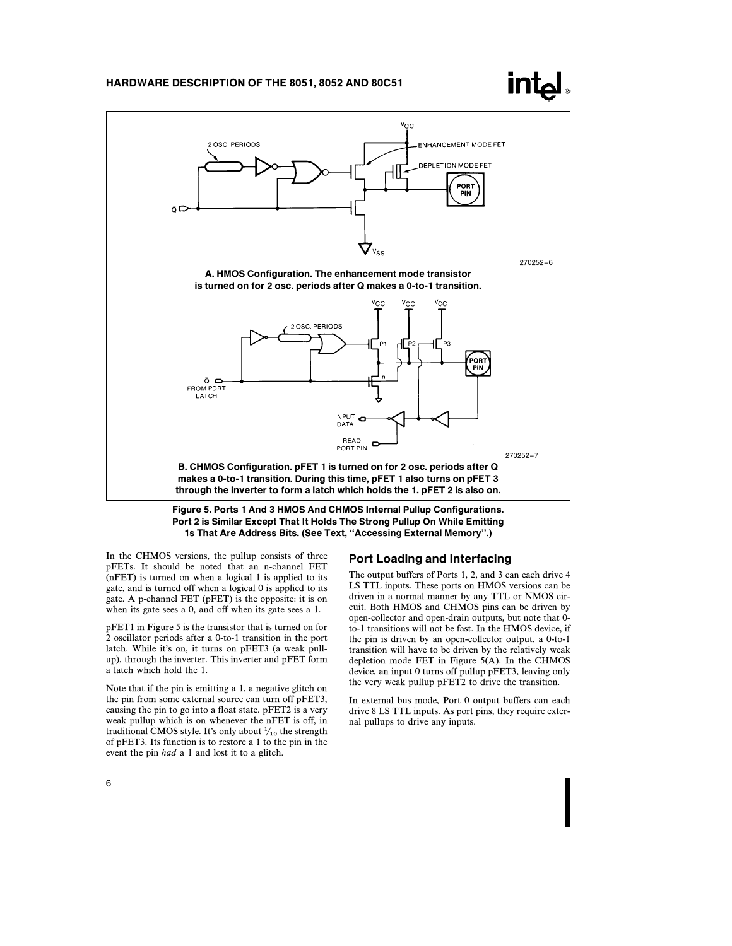# <u>Intal</u>



Port 2 is Similar Except That It Holds The Strong Pullup On While Emitting 1s That Are Address Bits. (See Text, ''Accessing External Memory''.)

In the CHMOS versions, the pullup consists of three pFETs. It should be noted that an n-channel FET (nFET) is turned on when a logical 1 is applied to its gate, and is turned off when a logical 0 is applied to its gate. A p-channel FET (pFET) is the opposite: it is on when its gate sees a 0, and off when its gate sees a 1.

pFET1 in Figure 5 is the transistor that is turned on for 2 oscillator periods after a 0-to-1 transition in the port latch. While it's on, it turns on pFET3 (a weak pullup), through the inverter. This inverter and pFET form a latch which hold the 1.

Note that if the pin is emitting a 1, a negative glitch on the pin from some external source can turn off pFET3, causing the pin to go into a float state. pFET2 is a very weak pullup which is on whenever the nFET is off, in traditional CMOS style. It's only about  $\frac{1}{10}$  the strength of pFET3. Its function is to restore a 1 to the pin in the event the pin had a 1 and lost it to a glitch.

#### Port Loading and Interfacing

The output buffers of Ports 1, 2, and 3 can each drive 4 LS TTL inputs. These ports on HMOS versions can be driven in a normal manner by any TTL or NMOS circuit. Both HMOS and CHMOS pins can be driven by open-collector and open-drain outputs, but note that 0 to-1 transitions will not be fast. In the HMOS device, if the pin is driven by an open-collector output, a 0-to-1 transition will have to be driven by the relatively weak depletion mode FET in Figure 5(A). In the CHMOS device, an input 0 turns off pullup pFET3, leaving only the very weak pullup pFET2 to drive the transition.

In external bus mode, Port 0 output buffers can each drive 8 LS TTL inputs. As port pins, they require external pullups to drive any inputs.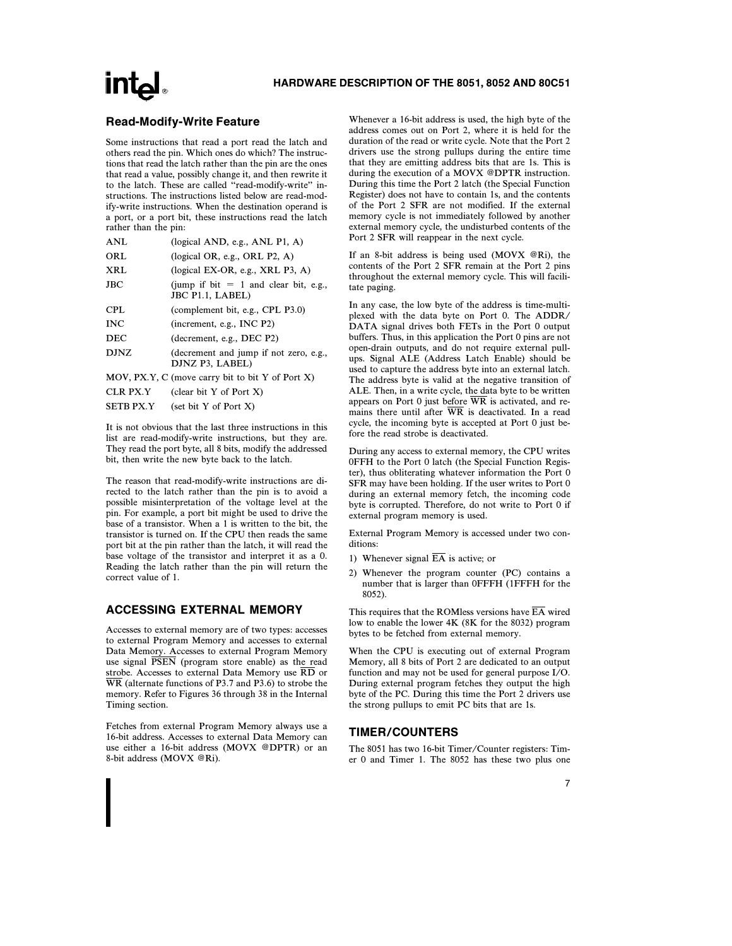### Read-Modify-Write Feature

Some instructions that read a port read the latch and others read the pin. Which ones do which? The instructions that read the latch rather than the pin are the ones that read a value, possibly change it, and then rewrite it to the latch. These are called ''read-modify-write'' instructions. The instructions listed below are read-modify-write instructions. When the destination operand is a port, or a port bit, these instructions read the latch rather than the pin:

| <b>ANL</b>       | (logical AND, e.g., ANL $P1$ , A)                           |
|------------------|-------------------------------------------------------------|
| ORL              | (logical OR, e.g., ORL $P2$ , A)                            |
| <b>XRL</b>       | $(logical EX-OR, e.g., XRL P3, A)$                          |
| <b>JBC</b>       | (jump if bit $= 1$ and clear bit, e.g.,<br>JBC P1.1, LABEL) |
| CPL              | (complement bit, e.g., CPL P3.0)                            |
| <b>INC</b>       | (increment, e.g., INC P2)                                   |
| <b>DEC</b>       | (decrement, e.g., DEC P2)                                   |
| <b>DJNZ</b>      | (decrement and jump if not zero, e.g.,<br>DJNZ P3, LABEL)   |
|                  | MOV, PX.Y, C (move carry bit to bit Y of Port X)            |
| <b>CLR PX.Y</b>  | (clear bit Y of Port X)                                     |
| <b>SETB PX.Y</b> | (set bit Y of Port X)                                       |

It is not obvious that the last three instructions in this list are read-modify-write instructions, but they are. They read the port byte, all 8 bits, modify the addressed bit, then write the new byte back to the latch.

The reason that read-modify-write instructions are directed to the latch rather than the pin is to avoid a possible misinterpretation of the voltage level at the pin. For example, a port bit might be used to drive the base of a transistor. When a 1 is written to the bit, the transistor is turned on. If the CPU then reads the same port bit at the pin rather than the latch, it will read the base voltage of the transistor and interpret it as a 0. Reading the latch rather than the pin will return the correct value of 1.

## ACCESSING EXTERNAL MEMORY

Accesses to external memory are of two types: accesses to external Program Memory and accesses to external Data Memory. Accesses to external Program Memory use signal **PSEN** (program store enable) as the read strobe. Accesses to external Data Memory use RD or WR (alternate functions of P3.7 and P3.6) to strobe the memory. Refer to Figures 36 through 38 in the Internal Timing section.

Fetches from external Program Memory always use a 16-bit address. Accesses to external Data Memory can use either a 16-bit address (MOVX @DPTR) or an 8-bit address (MOVX @Ri).

Whenever a 16-bit address is used, the high byte of the address comes out on Port 2, where it is held for the duration of the read or write cycle. Note that the Port 2 drivers use the strong pullups during the entire time that they are emitting address bits that are 1s. This is during the execution of a MOVX @DPTR instruction. During this time the Port 2 latch (the Special Function Register) does not have to contain 1s, and the contents of the Port 2 SFR are not modified. If the external memory cycle is not immediately followed by another external memory cycle, the undisturbed contents of the Port 2 SFR will reappear in the next cycle.

If an 8-bit address is being used (MOVX @Ri), the contents of the Port 2 SFR remain at the Port 2 pins throughout the external memory cycle. This will facilitate paging.

In any case, the low byte of the address is time-multiplexed with the data byte on Port 0. The ADDR/ DATA signal drives both FETs in the Port 0 output buffers. Thus, in this application the Port 0 pins are not open-drain outputs, and do not require external pullups. Signal ALE (Address Latch Enable) should be used to capture the address byte into an external latch. The address byte is valid at the negative transition of ALE. Then, in a write cycle, the data byte to be written appears on Port 0 just before  $\overline{\text{WR}}$  is activated, and remains there until after  $\overline{WR}$  is deactivated. In a read cycle, the incoming byte is accepted at Port 0 just before the read strobe is deactivated.

During any access to external memory, the CPU writes 0FFH to the Port 0 latch (the Special Function Register), thus obliterating whatever information the Port 0 SFR may have been holding. If the user writes to Port 0 during an external memory fetch, the incoming code byte is corrupted. Therefore, do not write to Port 0 if external program memory is used.

External Program Memory is accessed under two conditions:

- 1) Whenever signal  $\overline{EA}$  is active; or
- 2) Whenever the program counter (PC) contains a number that is larger than 0FFFH (1FFFH for the 8052).

This requires that the ROMless versions have  $\overline{EA}$  wired low to enable the lower 4K (8K for the 8032) program bytes to be fetched from external memory.

When the CPU is executing out of external Program Memory, all 8 bits of Port 2 are dedicated to an output function and may not be used for general purpose I/O. During external program fetches they output the high byte of the PC. During this time the Port 2 drivers use the strong pullups to emit PC bits that are 1s.

### TIMER/COUNTERS

The 8051 has two 16-bit Timer/Counter registers: Timer 0 and Timer 1. The 8052 has these two plus one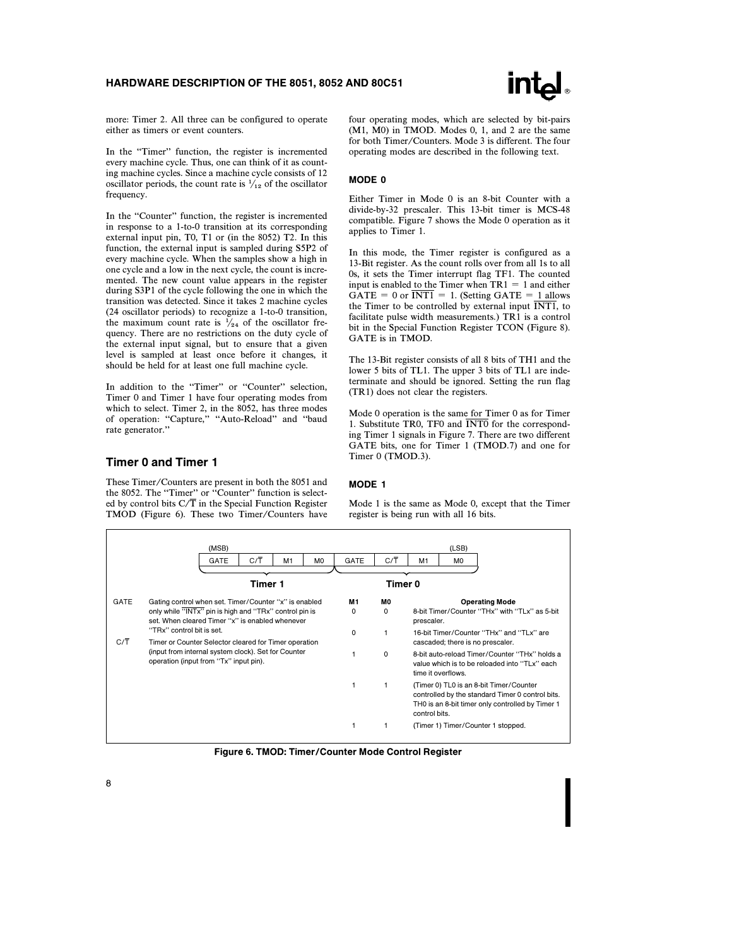

more: Timer 2. All three can be configured to operate either as timers or event counters.

In the "Timer" function, the register is incremented every machine cycle. Thus, one can think of it as counting machine cycles. Since a machine cycle consists of 12 oscillator periods, the count rate is  $\frac{1}{12}$  of the oscillator frequency.

In the ''Counter'' function, the register is incremented in response to a 1-to-0 transition at its corresponding external input pin, T0, T1 or (in the 8052) T2. In this function, the external input is sampled during S5P2 of every machine cycle. When the samples show a high in one cycle and a low in the next cycle, the count is incremented. The new count value appears in the register during S3P1 of the cycle following the one in which the transition was detected. Since it takes 2 machine cycles (24 oscillator periods) to recognize a 1-to-0 transition, the maximum count rate is  $\frac{1}{2}$  of the oscillator frequency. There are no restrictions on the duty cycle of the external input signal, but to ensure that a given level is sampled at least once before it changes, it should be held for at least one full machine cycle.

In addition to the "Timer" or "Counter" selection, Timer 0 and Timer 1 have four operating modes from which to select. Timer 2, in the 8052, has three modes of operation: "Capture," "Auto-Reload" and "baud rate generator.''

#### Timer 0 and Timer 1

These Timer/Counters are present in both the 8051 and the 8052. The "Timer" or "Counter" function is selected by control bits  $C/\overline{T}$  in the Special Function Register TMOD (Figure 6). These two Timer/Counters have four operating modes, which are selected by bit-pairs (M1, M0) in TMOD. Modes 0, 1, and 2 are the same for both Timer/Counters. Mode 3 is different. The four operating modes are described in the following text.

#### MODE 0

Either Timer in Mode 0 is an 8-bit Counter with a divide-by-32 prescaler. This 13-bit timer is MCS-48 compatible. Figure 7 shows the Mode 0 operation as it applies to Timer 1.

In this mode, the Timer register is configured as a 13-Bit register. As the count rolls over from all 1s to all 0s, it sets the Timer interrupt flag TF1. The counted input is enabled to the Timer when  $TR1 = 1$  and either  $GATE = 0$  or  $\overline{INT1} = 1$ . (Setting GATE = 1 allows the Timer to be controlled by external input  $\overline{INT1}$ , to facilitate pulse width measurements.) TR1 is a control bit in the Special Function Register TCON (Figure 8). GATE is in TMOD.

The 13-Bit register consists of all 8 bits of TH1 and the lower 5 bits of TL1. The upper 3 bits of TL1 are indeterminate and should be ignored. Setting the run flag (TR1) does not clear the registers.

Mode 0 operation is the same for Timer 0 as for Timer 1. Substitute TR0, TF0 and  $\overline{\text{INT0}}$  for the corresponding Timer 1 signals in Figure 7. There are two different GATE bits, one for Timer 1 (TMOD.7) and one for Timer 0 (TMOD.3).

#### MODE 1

Mode 1 is the same as Mode 0, except that the Timer register is being run with all 16 bits.

|             | (MSB)                                                                                                     |         |                |                |                                                                                                                                                                  |                                                                                                                      |                                                                              | (LSB)                              |  |  |
|-------------|-----------------------------------------------------------------------------------------------------------|---------|----------------|----------------|------------------------------------------------------------------------------------------------------------------------------------------------------------------|----------------------------------------------------------------------------------------------------------------------|------------------------------------------------------------------------------|------------------------------------|--|--|
|             | <b>GATE</b>                                                                                               | C/T     | M <sub>1</sub> | M <sub>0</sub> | GATE                                                                                                                                                             | $C/\overline{T}$                                                                                                     | M <sub>1</sub>                                                               | M <sub>0</sub>                     |  |  |
|             |                                                                                                           |         |                |                |                                                                                                                                                                  |                                                                                                                      |                                                                              |                                    |  |  |
|             |                                                                                                           | Timer 1 |                |                |                                                                                                                                                                  | Timer 0                                                                                                              |                                                                              |                                    |  |  |
| <b>GATE</b> | Gating control when set. Timer/Counter "x" is enabled                                                     |         |                |                | M1                                                                                                                                                               | MО                                                                                                                   |                                                                              | <b>Operating Mode</b>              |  |  |
|             | only while "INTx" pin is high and "TRx" control pin is<br>set. When cleared Timer "x" is enabled whenever |         |                |                | 0                                                                                                                                                                | $\Omega$                                                                                                             | 8-bit Timer/Counter "THx" with "TLx" as 5-bit<br>prescaler.                  |                                    |  |  |
| C/T         | "TRx" control bit is set.<br>Timer or Counter Selector cleared for Timer operation                        |         |                |                | $\Omega$                                                                                                                                                         | 1                                                                                                                    | 16-bit Timer/Counter "THx" and "TLx" are<br>cascaded; there is no prescaler. |                                    |  |  |
|             | (input from internal system clock). Set for Counter<br>operation (input from "Tx" input pin).             |         |                |                | 0                                                                                                                                                                | 8-bit auto-reload Timer/Counter "THx" holds a<br>value which is to be reloaded into "TLx" each<br>time it overflows. |                                                                              |                                    |  |  |
|             |                                                                                                           |         | 1              | 1              | (Timer 0) TL0 is an 8-bit Timer/Counter<br>controlled by the standard Timer 0 control bits.<br>TH0 is an 8-bit timer only controlled by Timer 1<br>control bits. |                                                                                                                      |                                                                              |                                    |  |  |
|             |                                                                                                           |         |                |                | 1                                                                                                                                                                | 1                                                                                                                    |                                                                              | (Timer 1) Timer/Counter 1 stopped. |  |  |

Figure 6. TMOD: Timer/Counter Mode Control Register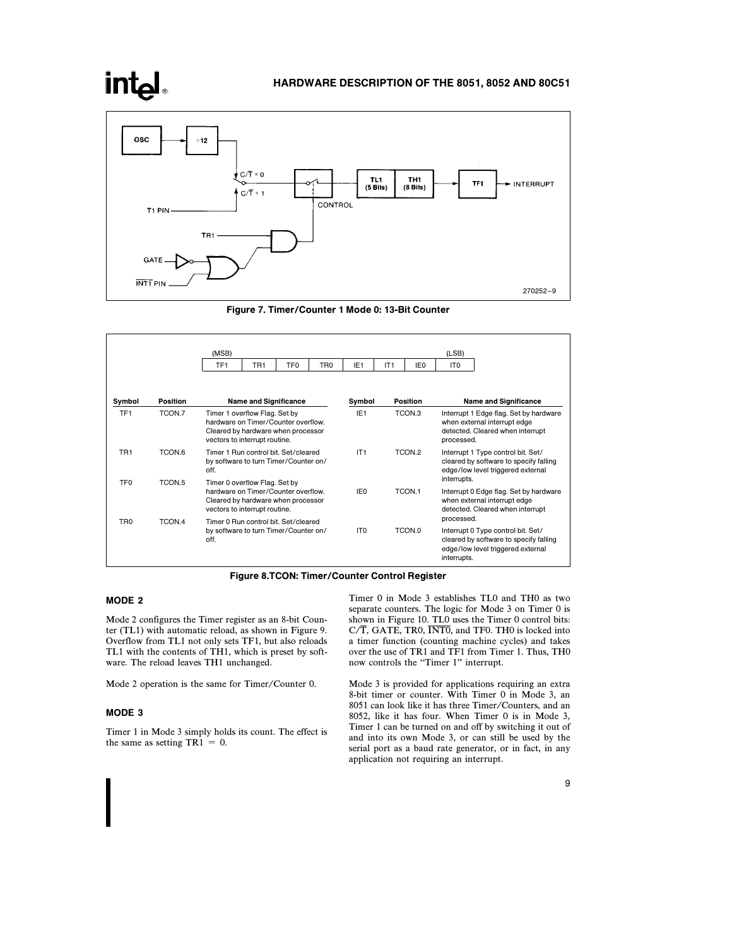# **intel**

### HARDWARE DESCRIPTION OF THE 8051, 8052 AND 80C51



Figure 7. Timer/Counter 1 Mode 0: 13-Bit Counter

|                 |                   | (MSB)<br>TF <sub>1</sub>                                                                                                                    | TR <sub>1</sub>                                                                                                                             | TF <sub>0</sub> | TR <sub>0</sub>           | IE <sub>1</sub> | IT1                                                                                                                      | IE <sub>0</sub>                                                                                                          | (LSB)<br>IT <sub>0</sub>                                                                                          |                                                                                                                   |
|-----------------|-------------------|---------------------------------------------------------------------------------------------------------------------------------------------|---------------------------------------------------------------------------------------------------------------------------------------------|-----------------|---------------------------|-----------------|--------------------------------------------------------------------------------------------------------------------------|--------------------------------------------------------------------------------------------------------------------------|-------------------------------------------------------------------------------------------------------------------|-------------------------------------------------------------------------------------------------------------------|
|                 |                   |                                                                                                                                             |                                                                                                                                             |                 |                           |                 |                                                                                                                          |                                                                                                                          |                                                                                                                   |                                                                                                                   |
| Symbol          | Position          | <b>Name and Significance</b>                                                                                                                |                                                                                                                                             |                 | <b>Position</b><br>Symbol |                 |                                                                                                                          |                                                                                                                          |                                                                                                                   | <b>Name and Significance</b>                                                                                      |
| TF <sub>1</sub> | TCON.7            | Timer 1 overflow Flag. Set by<br>hardware on Timer/Counter overflow.<br>Cleared by hardware when processor<br>vectors to interrupt routine. | IE <sub>1</sub><br>TCON.3                                                                                                                   |                 |                           |                 | Interrupt 1 Edge flag. Set by hardware<br>when external interrupt edge<br>detected. Cleared when interrupt<br>processed. |                                                                                                                          |                                                                                                                   |                                                                                                                   |
| TR <sub>1</sub> | TCON.6            | Timer 1 Run control bit. Set/cleared<br>by software to turn Timer/Counter on/<br>off.                                                       |                                                                                                                                             |                 |                           | IT1             |                                                                                                                          | TCON <sub>2</sub>                                                                                                        | interrupts.                                                                                                       | Interrupt 1 Type control bit. Set/<br>cleared by software to specify falling<br>edge/low level triggered external |
| TF <sub>0</sub> | TCON <sub>5</sub> |                                                                                                                                             | Timer 0 overflow Flag. Set by<br>hardware on Timer/Counter overflow.<br>Cleared by hardware when processor<br>vectors to interrupt routine. |                 | TCON.1<br>IF <sub>0</sub> |                 |                                                                                                                          | Interrupt 0 Edge flag. Set by hardware<br>when external interrupt edge<br>detected. Cleared when interrupt<br>processed. |                                                                                                                   |                                                                                                                   |
| TR <sub>0</sub> | TCON.4            | Timer 0 Run control bit. Set/cleared<br>by software to turn Timer/Counter on/<br>off.                                                       |                                                                                                                                             |                 | IT <sub>0</sub>           |                 | TCON.0                                                                                                                   | interrupts.                                                                                                              | Interrupt 0 Type control bit. Set/<br>cleared by software to specify falling<br>edge/low level triggered external |                                                                                                                   |

#### Figure 8.TCON: Timer/Counter Control Register

### MODE 2

Mode 2 configures the Timer register as an 8-bit Counter (TL1) with automatic reload, as shown in Figure 9. Overflow from TL1 not only sets TF1, but also reloads TL1 with the contents of TH1, which is preset by software. The reload leaves TH1 unchanged.

Mode 2 operation is the same for Timer/Counter 0.

#### MODE 3

Timer 1 in Mode 3 simply holds its count. The effect is the same as setting  $TR1 = 0$ .

Timer 0 in Mode 3 establishes TL0 and TH0 as two separate counters. The logic for Mode 3 on Timer 0 is shown in Figure 10. TL0 uses the Timer 0 control bits:  $C/T$ , GATE, TR0,  $\overline{\text{INT0}}$ , and TF0. TH0 is locked into a timer function (counting machine cycles) and takes over the use of TR1 and TF1 from Timer 1. Thus, TH0 now controls the ''Timer 1'' interrupt.

Mode 3 is provided for applications requiring an extra 8-bit timer or counter. With Timer 0 in Mode 3, an 8051 can look like it has three Timer/Counters, and an 8052, like it has four. When Timer 0 is in Mode 3, Timer 1 can be turned on and off by switching it out of and into its own Mode 3, or can still be used by the serial port as a baud rate generator, or in fact, in any application not requiring an interrupt.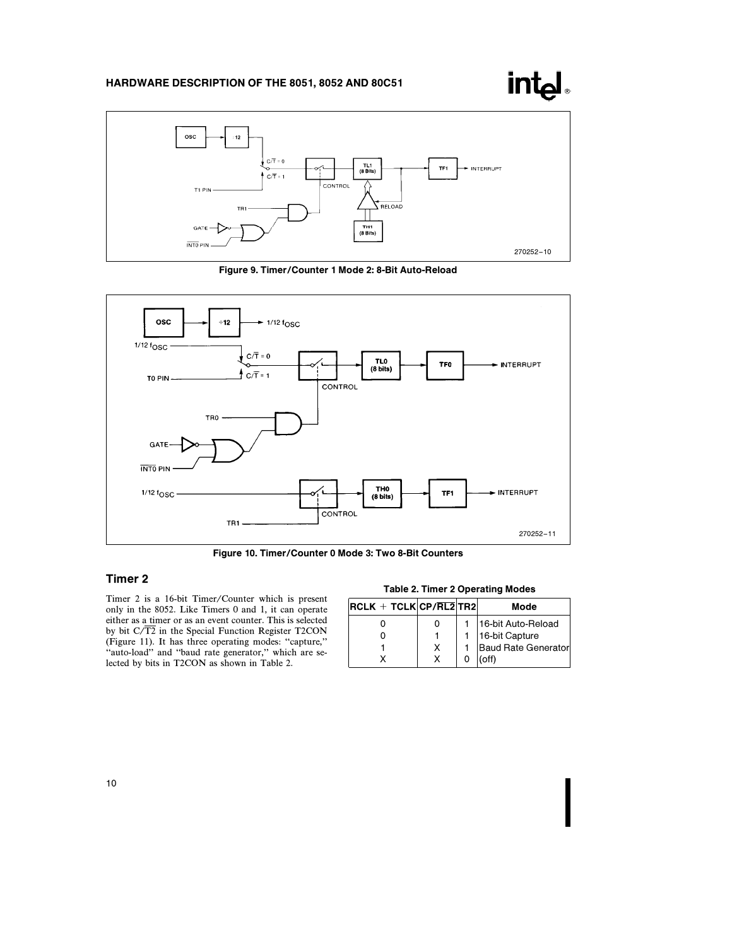



Figure 9. Timer/Counter 1 Mode 2: 8-Bit Auto-Reload



Figure 10. Timer/Counter 0 Mode 3: Two 8-Bit Counters

# Timer 2

Timer 2 is a 16-bit Timer/Counter which is present only in the 8052. Like Timers 0 and 1, it can operate either as a timer or as an event counter. This is selected by bit C/T2 in the Special Function Register T2CON (Figure 11). It has three operating modes: ''capture,'' ''auto-load'' and ''baud rate generator,'' which are selected by bits in T2CON as shown in Table 2.

#### Table 2. Timer 2 Operating Modes

| $RCLK + TCLK CP/RL2 TR2 $ |   | Mode                |
|---------------------------|---|---------------------|
|                           |   | 16-bit Auto-Reload  |
|                           |   | 16-bit Capture      |
|                           | x | Baud Rate Generator |
|                           |   | ัดff)               |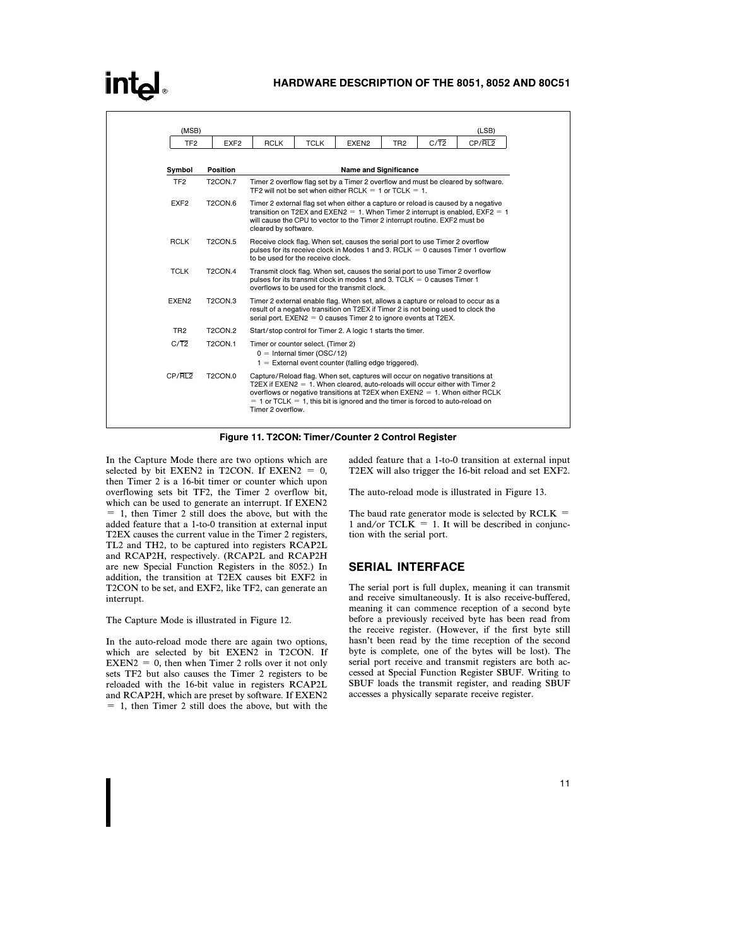|                   |                                 |             |                                                                                                                                                                                                                                                                             |                                                                                                                                                                  |                 |                                                                                     | (LSB)                                                                            |  |  |  |
|-------------------|---------------------------------|-------------|-----------------------------------------------------------------------------------------------------------------------------------------------------------------------------------------------------------------------------------------------------------------------------|------------------------------------------------------------------------------------------------------------------------------------------------------------------|-----------------|-------------------------------------------------------------------------------------|----------------------------------------------------------------------------------|--|--|--|
| TF <sub>2</sub>   | EXF <sub>2</sub>                | <b>RCLK</b> | <b>TCLK</b>                                                                                                                                                                                                                                                                 | EXEN <sub>2</sub>                                                                                                                                                | TR <sub>2</sub> | $C/\overline{T2}$                                                                   | CP/RL2                                                                           |  |  |  |
|                   |                                 |             |                                                                                                                                                                                                                                                                             |                                                                                                                                                                  |                 |                                                                                     |                                                                                  |  |  |  |
| Symbol            | Position                        |             |                                                                                                                                                                                                                                                                             | <b>Name and Significance</b>                                                                                                                                     |                 |                                                                                     |                                                                                  |  |  |  |
| TF <sub>2</sub>   | T <sub>2</sub> CON.7            |             |                                                                                                                                                                                                                                                                             | TF2 will not be set when either RCLK = 1 or TCLK = $1$ .                                                                                                         |                 |                                                                                     | Timer 2 overflow flag set by a Timer 2 overflow and must be cleared by software. |  |  |  |
| EXF <sub>2</sub>  | T <sub>2</sub> CON.6            |             | Timer 2 external flag set when either a capture or reload is caused by a negative<br>transition on T2EX and EXEN2 = 1. When Timer 2 interrupt is enabled, $EXF2 = 1$<br>will cause the CPU to vector to the Timer 2 interrupt routine. EXF2 must be<br>cleared by software. |                                                                                                                                                                  |                 |                                                                                     |                                                                                  |  |  |  |
| <b>RCLK</b>       | <b>T2CON.5</b>                  |             | Receive clock flag. When set, causes the serial port to use Timer 2 overflow<br>pulses for its receive clock in Modes 1 and 3. RCLK $= 0$ causes Timer 1 overflow<br>to be used for the receive clock.                                                                      |                                                                                                                                                                  |                 |                                                                                     |                                                                                  |  |  |  |
| <b>TCLK</b>       | <b>T2CON.4</b>                  |             | Transmit clock flag. When set, causes the serial port to use Timer 2 overflow<br>pulses for its transmit clock in modes 1 and 3. TCLK $= 0$ causes Timer 1<br>overflows to be used for the transmit clock.                                                                  |                                                                                                                                                                  |                 |                                                                                     |                                                                                  |  |  |  |
| EXEN <sub>2</sub> | T <sub>2</sub> CON <sub>3</sub> |             | Timer 2 external enable flag. When set, allows a capture or reload to occur as a<br>result of a negative transition on T2EX if Timer 2 is not being used to clock the<br>serial port. $EXEN2 = 0$ causes Timer 2 to ignore events at T2EX.                                  |                                                                                                                                                                  |                 |                                                                                     |                                                                                  |  |  |  |
| TR <sub>2</sub>   | <b>T2CON.2</b>                  |             |                                                                                                                                                                                                                                                                             | Start/stop control for Timer 2. A logic 1 starts the timer.                                                                                                      |                 |                                                                                     |                                                                                  |  |  |  |
| $C/\overline{T2}$ | <b>T2CON.1</b>                  |             | Timer or counter select. (Timer 2)<br>$0 =$ Internal timer (OSC/12)<br>$1 =$ External event counter (falling edge triggered).                                                                                                                                               |                                                                                                                                                                  |                 |                                                                                     |                                                                                  |  |  |  |
| CP/RL2            | <b>T2CON.0</b>                  |             |                                                                                                                                                                                                                                                                             | Capture/Reload flag. When set, captures will occur on negative transitions at<br>T2EX if $EXEN2 = 1$ . When cleared, auto-reloads will occur either with Timer 2 |                 | $= 1$ or TCLK $= 1$ , this bit is ignored and the timer is forced to auto-reload on | overflows or negative transitions at T2EX when $EXEN2 = 1$ . When either RCLK    |  |  |  |

Figure 11. T2CON: Timer/Counter 2 Control Register

In the Capture Mode there are two options which are selected by bit EXEN2 in T2CON. If EXEN2 =  $0$ , then Timer 2 is a 16-bit timer or counter which upon overflowing sets bit TF2, the Timer 2 overflow bit, which can be used to generate an interrupt. If EXEN2  $= 1$ , then Timer 2 still does the above, but with the added feature that a 1-to-0 transition at external input T2EX causes the current value in the Timer 2 registers, TL2 and TH2, to be captured into registers RCAP2L and RCAP2H, respectively. (RCAP2L and RCAP2H are new Special Function Registers in the 8052.) In addition, the transition at T2EX causes bit EXF2 in T2CON to be set, and EXF2, like TF2, can generate an interrupt.

The Capture Mode is illustrated in Figure 12.

In the auto-reload mode there are again two options, which are selected by bit EXEN2 in T2CON. If  $EXEN2 = 0$ , then when Timer 2 rolls over it not only sets TF2 but also causes the Timer 2 registers to be reloaded with the 16-bit value in registers RCAP2L and RCAP2H, which are preset by software. If EXEN2  $= 1$ , then Timer 2 still does the above, but with the

added feature that a 1-to-0 transition at external input T2EX will also trigger the 16-bit reload and set EXF2.

The auto-reload mode is illustrated in Figure 13.

The baud rate generator mode is selected by  $RCLK =$ 1 and/or TCL $\tilde{K} = 1$ . It will be described in conjunction with the serial port.

### SERIAL INTERFACE

The serial port is full duplex, meaning it can transmit and receive simultaneously. It is also receive-buffered, meaning it can commence reception of a second byte before a previously received byte has been read from the receive register. (However, if the first byte still hasn't been read by the time reception of the second byte is complete, one of the bytes will be lost). The serial port receive and transmit registers are both accessed at Special Function Register SBUF. Writing to SBUF loads the transmit register, and reading SBUF accesses a physically separate receive register.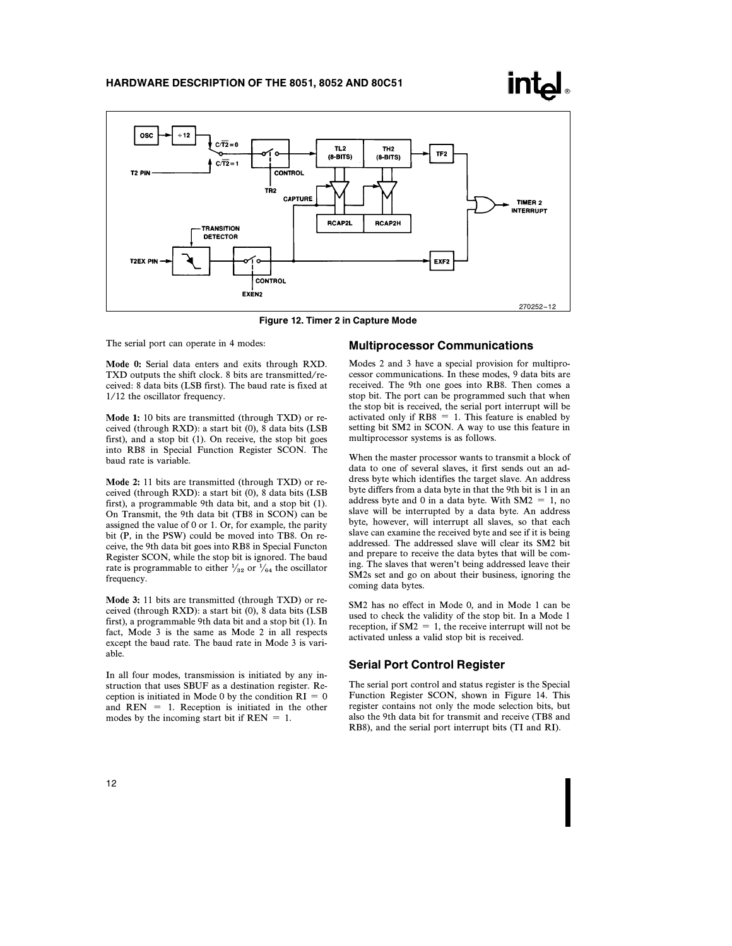



Figure 12. Timer 2 in Capture Mode

The serial port can operate in 4 modes:

Mode 0: Serial data enters and exits through RXD. TXD outputs the shift clock. 8 bits are transmitted/received: 8 data bits (LSB first). The baud rate is fixed at 1/12 the oscillator frequency.

Mode 1: 10 bits are transmitted (through TXD) or received (through RXD): a start bit (0), 8 data bits (LSB first), and a stop bit (1). On receive, the stop bit goes into RB8 in Special Function Register SCON. The baud rate is variable.

Mode 2: 11 bits are transmitted (through TXD) or received (through RXD): a start bit (0), 8 data bits (LSB first), a programmable 9th data bit, and a stop bit (1). On Transmit, the 9th data bit (TB8 in SCON) can be assigned the value of 0 or 1. Or, for example, the parity bit (P, in the PSW) could be moved into TB8. On receive, the 9th data bit goes into RB8 in Special Functon Register SCON, while the stop bit is ignored. The baud rate is programmable to either  $\frac{1}{32}$  or  $\frac{1}{64}$  the oscillator frequency.

Mode 3: 11 bits are transmitted (through TXD) or received (through RXD): a start bit (0), 8 data bits (LSB first), a programmable 9th data bit and a stop bit (1). In fact, Mode 3 is the same as Mode 2 in all respects except the baud rate. The baud rate in Mode 3 is variable.

In all four modes, transmission is initiated by any instruction that uses SBUF as a destination register. Reception is initiated in Mode 0 by the condition  $RI = 0$ and  $REN = 1$ . Reception is initiated in the other modes by the incoming start bit if  $REN = 1$ .

#### Multiprocessor Communications

Modes 2 and 3 have a special provision for multiprocessor communications. In these modes, 9 data bits are received. The 9th one goes into RB8. Then comes a stop bit. The port can be programmed such that when the stop bit is received, the serial port interrupt will be activated only if  $RB8 = 1$ . This feature is enabled by setting bit SM2 in SCON. A way to use this feature in multiprocessor systems is as follows.

When the master processor wants to transmit a block of data to one of several slaves, it first sends out an address byte which identifies the target slave. An address byte differs from a data byte in that the 9th bit is 1 in an address byte and 0 in a data byte. With  $SM2 = 1$ , no slave will be interrupted by a data byte. An address byte, however, will interrupt all slaves, so that each slave can examine the received byte and see if it is being addressed. The addressed slave will clear its SM2 bit and prepare to receive the data bytes that will be coming. The slaves that weren't being addressed leave their SM2s set and go on about their business, ignoring the coming data bytes.

SM2 has no effect in Mode 0, and in Mode 1 can be used to check the validity of the stop bit. In a Mode 1 reception, if  $SM2 = 1$ , the receive interrupt will not be activated unless a valid stop bit is received.

#### Serial Port Control Register

The serial port control and status register is the Special Function Register SCON, shown in Figure 14. This register contains not only the mode selection bits, but also the 9th data bit for transmit and receive (TB8 and RB8), and the serial port interrupt bits (TI and RI).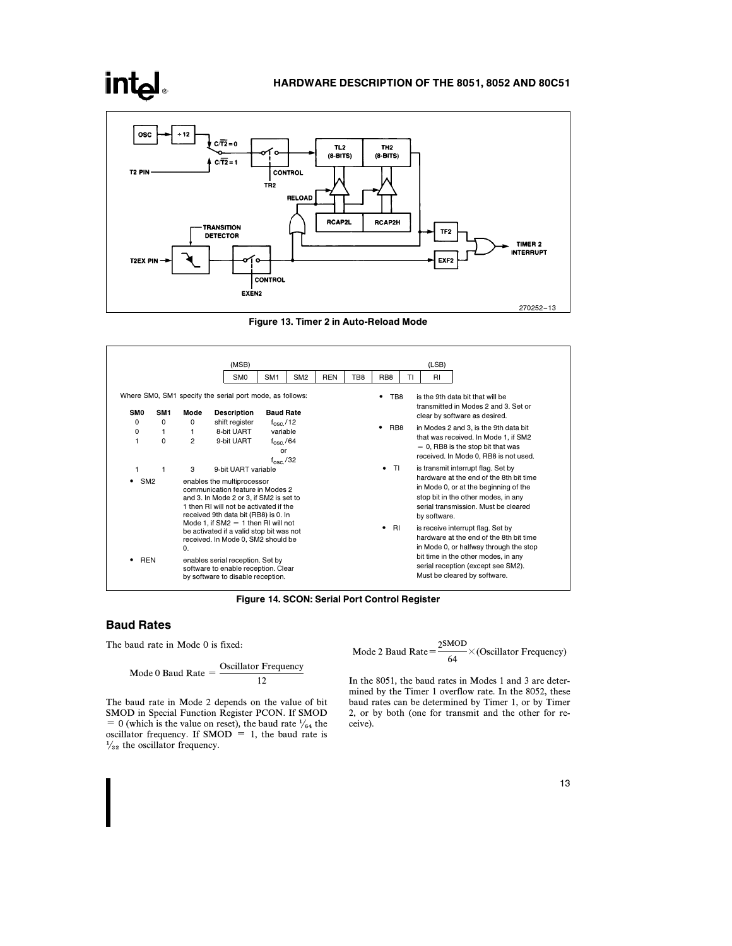

Figure 13. Timer 2 in Auto-Reload Mode



Figure 14. SCON: Serial Port Control Register

## Baud Rates

**intel** 

The baud rate in Mode 0 is fixed:

$$
Mode 0 Baud Rate = \frac{Oscillator Frequency}{12}
$$

The baud rate in Mode 2 depends on the value of bit SMOD in Special Function Register PCON. If SMOD = 0 (which is the value on reset), the baud rate  $\frac{1}{64}$  the oscillator frequency. If  $SMOD = 1$ , the baud rate is  $\frac{1}{32}$  the oscillator frequency.

Mode 2 Baud Rate = 
$$
\frac{2^{SMOD}}{64} \times (Oscillator Frequency)
$$

In the 8051, the baud rates in Modes 1 and 3 are determined by the Timer 1 overflow rate. In the 8052, these baud rates can be determined by Timer 1, or by Timer 2, or by both (one for transmit and the other for receive).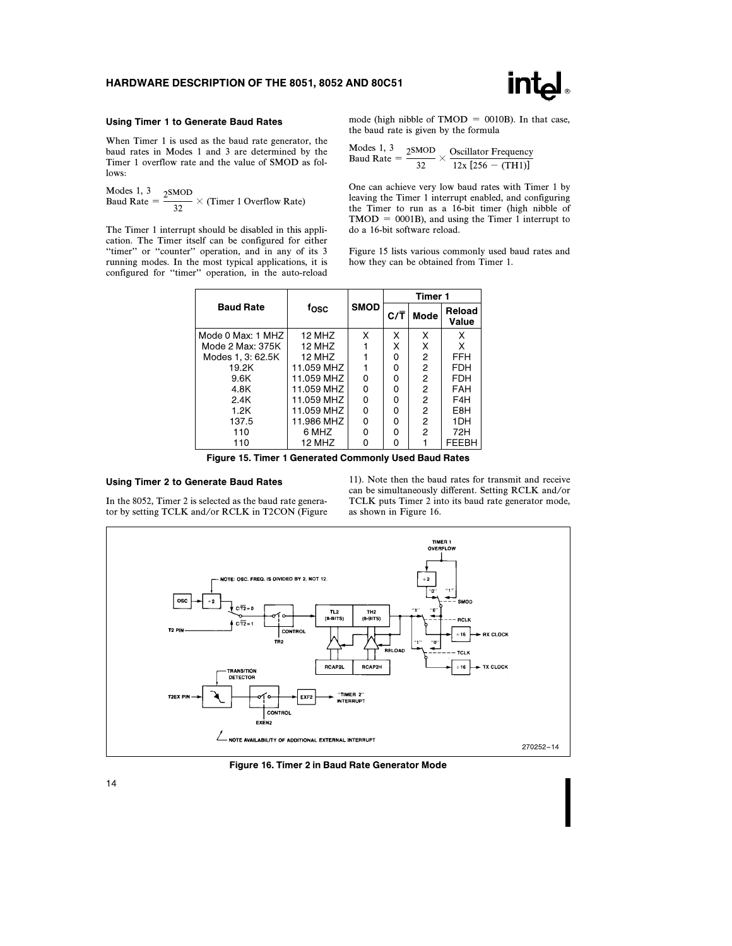

#### Using Timer 1 to Generate Baud Rates

When Timer 1 is used as the baud rate generator, the baud rates in Modes 1 and 3 are determined by the Timer 1 overflow rate and the value of SMOD as follows:

Modes 1, 3<br>Baud Rate =  $\frac{2 \text{SMOD}}{32} \times \text{(Timer 1 Overflow Rate)}$ 

The Timer 1 interrupt should be disabled in this application. The Timer itself can be configured for either "timer" or "counter" operation, and in any of its 3 running modes. In the most typical applications, it is configured for ''timer'' operation, in the auto-reload mode (high nibble of TMOD = 0010B). In that case, the baud rate is given by the formula

Modes 1, 3<br>Baud Rate =  $\frac{2 \text{SMOD}}{32}$  $\times$  Oscillator Frequency  $12x [256 - (TH1)]$ 

One can achieve very low baud rates with Timer 1 by leaving the Timer 1 interrupt enabled, and configuring the Timer to run as a 16-bit timer (high nibble of  $TMOD = 0001B$ ), and using the Timer 1 interrupt to do a 16-bit software reload.

Figure 15 lists various commonly used baud rates and how they can be obtained from Timer 1.

|                   |            |             | Timer 1 |                |                 |  |
|-------------------|------------|-------------|---------|----------------|-----------------|--|
| <b>Baud Rate</b>  | fosc       | <b>SMOD</b> | C/T     | Mode           | Reload<br>Value |  |
| Mode 0 Max: 1 MHZ | 12 MHZ     | x           | Χ       | x              | х               |  |
| Mode 2 Max: 375K  | 12 MHZ     |             | X       | X              | X               |  |
| Modes 1, 3: 62.5K | 12 MHZ     |             | 0       | 2              | FFH             |  |
| 19.2K             | 11.059 MHZ |             | O       | $\overline{2}$ | <b>FDH</b>      |  |
| 9.6K              | 11.059 MHZ | 0           | 0       | $\overline{2}$ | <b>FDH</b>      |  |
| 4.8K              | 11.059 MHZ | 0           | 0       | $\overline{2}$ | <b>FAH</b>      |  |
| 2.4K              | 11.059 MHZ | 0           | 0       | 2              | F4H             |  |
| 1.2K              | 11.059 MHZ | 0           | 0       | 2              | E8H             |  |
| 137.5             | 11.986 MHZ | 0           | O       | 2              | 1DH             |  |
| 110               | 6 MHZ      | 0           | 0       | 2              | 72H             |  |
| 110               | 12 MHZ     | 0           | ŋ       |                | <b>FEEBH</b>    |  |

Figure 15. Timer 1 Generated Commonly Used Baud Rates

#### Using Timer 2 to Generate Baud Rates

In the 8052, Timer 2 is selected as the baud rate generator by setting TCLK and/or RCLK in T2CON (Figure 11). Note then the baud rates for transmit and receive can be simultaneously different. Setting RCLK and/or TCLK puts Timer 2 into its baud rate generator mode, as shown in Figure 16.



Figure 16. Timer 2 in Baud Rate Generator Mode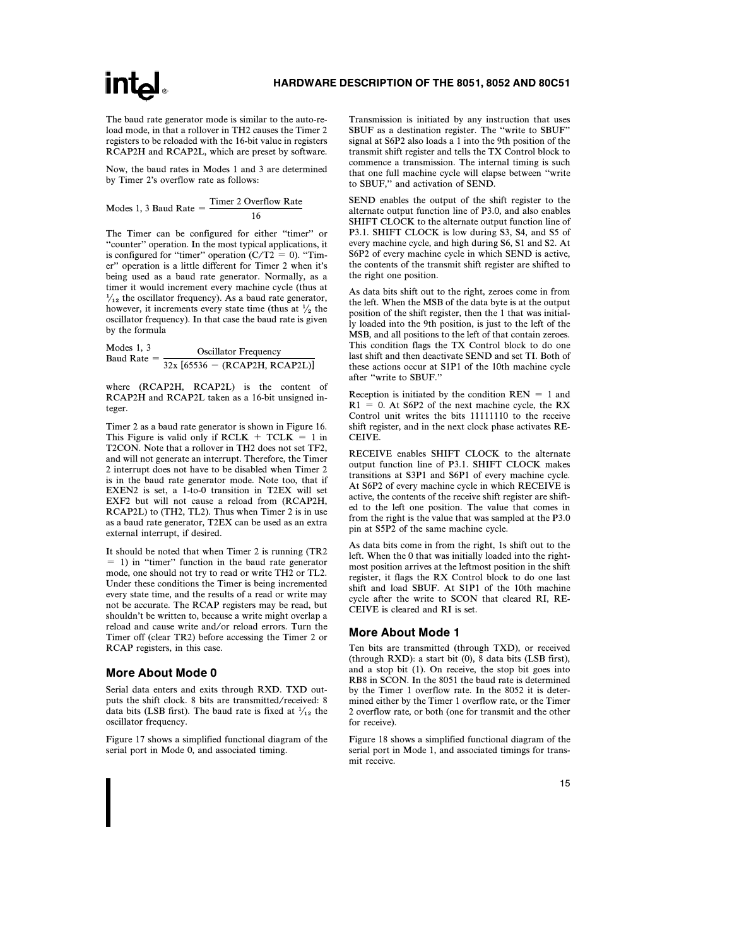The baud rate generator mode is similar to the auto-reload mode, in that a rollover in TH2 causes the Timer 2 registers to be reloaded with the 16-bit value in registers RCAP2H and RCAP2L, which are preset by software.

Now, the baud rates in Modes 1 and 3 are determined by Timer 2's overflow rate as follows:

Modes 1, 3 Baud Rate  $=$   $\frac{\text{Timer 2 Overflow Rate}}{16}$ 

The Timer can be configured for either "timer" or ''counter'' operation. In the most typical applications, it is configured for "timer" operation  $(C/T2 = 0)$ . "Timer'' operation is a little different for Timer 2 when it's being used as a baud rate generator. Normally, as a timer it would increment every machine cycle (thus at  $\frac{1}{12}$  the oscillator frequency). As a baud rate generator, however, it increments every state time (thus at  $\frac{1}{2}$  the oscillator frequency). In that case the baud rate is given by the formula

Models 1, 3

\nBaud Rate = 
$$
\frac{\text{Oscillator Frequency}}{32x \left[ 65536 - \text{(RCAP2H, RCAP2L)} \right]}
$$

where (RCAP2H, RCAP2L) is the content of RCAP2H and RCAP2L taken as a 16-bit unsigned integer.

Timer 2 as a baud rate generator is shown in Figure 16. This Figure is valid only if  $RCLK + TCLK = 1$  in T2CON. Note that a rollover in TH2 does not set TF2, and will not generate an interrupt. Therefore, the Timer 2 interrupt does not have to be disabled when Timer 2 is in the baud rate generator mode. Note too, that if EXEN2 is set, a 1-to-0 transition in T2EX will set EXF2 but will not cause a reload from (RCAP2H, RCAP2L) to (TH2, TL2). Thus when Timer 2 is in use as a baud rate generator, T2EX can be used as an extra external interrupt, if desired.

It should be noted that when Timer 2 is running (TR2  $=$  1) in "timer" function in the baud rate generator mode, one should not try to read or write TH2 or TL2. Under these conditions the Timer is being incremented every state time, and the results of a read or write may not be accurate. The RCAP registers may be read, but shouldn't be written to, because a write might overlap a reload and cause write and/or reload errors. Turn the Timer off (clear TR2) before accessing the Timer 2 or RCAP registers, in this case.

### More About Mode 0

Serial data enters and exits through RXD. TXD outputs the shift clock. 8 bits are transmitted/received: 8 data bits (LSB first). The baud rate is fixed at  $\frac{1}{12}$  the oscillator frequency.

Figure 17 shows a simplified functional diagram of the serial port in Mode 0, and associated timing.

Transmission is initiated by any instruction that uses SBUF as a destination register. The ''write to SBUF'' signal at S6P2 also loads a 1 into the 9th position of the transmit shift register and tells the TX Control block to commence a transmission. The internal timing is such that one full machine cycle will elapse between ''write to SBUF,'' and activation of SEND.

SEND enables the output of the shift register to the alternate output function line of P3.0, and also enables SHIFT CLOCK to the alternate output function line of P3.1. SHIFT CLOCK is low during S3, S4, and S5 of every machine cycle, and high during S6, S1 and S2. At S6P2 of every machine cycle in which SEND is active, the contents of the transmit shift register are shifted to the right one position.

As data bits shift out to the right, zeroes come in from the left. When the MSB of the data byte is at the output position of the shift register, then the 1 that was initially loaded into the 9th position, is just to the left of the MSB, and all positions to the left of that contain zeroes. This condition flags the TX Control block to do one last shift and then deactivate SEND and set TI. Both of these actions occur at S1P1 of the 10th machine cycle after ''write to SBUF.''

Reception is initiated by the condition  $REN = 1$  and  $R1 = 0$ . At S6P2 of the next machine cycle, the RX Control unit writes the bits 11111110 to the receive shift register, and in the next clock phase activates RE-CEIVE.

RECEIVE enables SHIFT CLOCK to the alternate output function line of P3.1. SHIFT CLOCK makes transitions at S3P1 and S6P1 of every machine cycle. At S6P2 of every machine cycle in which RECEIVE is active, the contents of the receive shift register are shifted to the left one position. The value that comes in from the right is the value that was sampled at the P3.0 pin at S5P2 of the same machine cycle.

As data bits come in from the right, 1s shift out to the left. When the 0 that was initially loaded into the rightmost position arrives at the leftmost position in the shift register, it flags the RX Control block to do one last shift and load SBUF. At S1P1 of the 10th machine cycle after the write to SCON that cleared RI, RE-CEIVE is cleared and RI is set.

#### More About Mode 1

Ten bits are transmitted (through TXD), or received (through RXD): a start bit (0), 8 data bits (LSB first), and a stop bit (1). On receive, the stop bit goes into RB8 in SCON. In the 8051 the baud rate is determined by the Timer 1 overflow rate. In the 8052 it is determined either by the Timer 1 overflow rate, or the Timer 2 overflow rate, or both (one for transmit and the other for receive).

Figure 18 shows a simplified functional diagram of the serial port in Mode 1, and associated timings for transmit receive.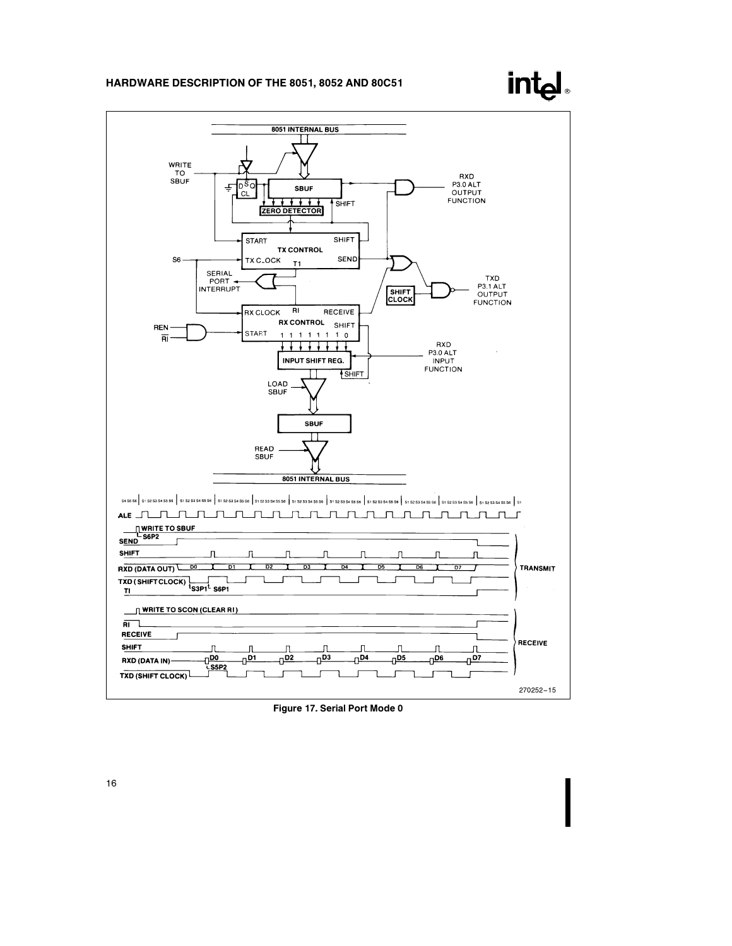



Λ

 $\frac{1}{\sqrt{103}}$ 

π

 $0^{D4}$ 

Л

 $\frac{1}{10}$ 

η

 $\frac{1}{100}$ 

η

 $\frac{1}{107}$ 

270252 –15

**SHIFT** 

RXD (DATA IN)-TXD (SHIFT CLOCK) J

 $\begin{array}{c}\n\overline{1} & \overline{1} & \overline{1} \\
\overline{1} & \overline{1} & \overline{1} \\
\overline{1} & \overline{1} & \overline{1} \\
\overline{1} & \overline{1} & \overline{1}\n\end{array}$ 

J

 $\frac{1}{10}$ 

Л

 $\frac{1}{\sqrt{2}}$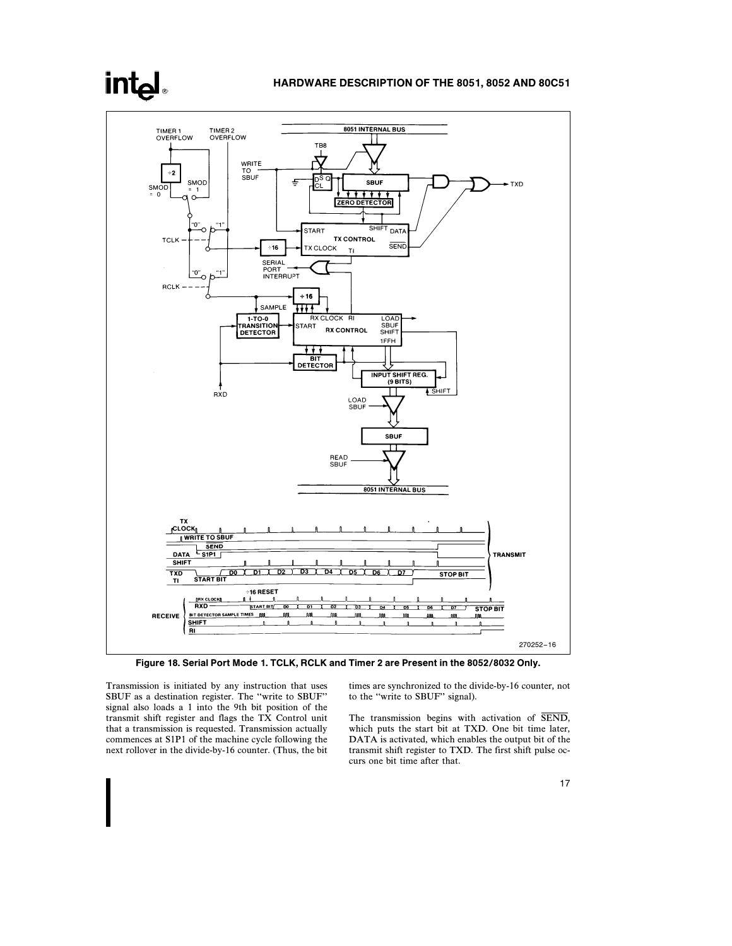

Figure 18. Serial Port Mode 1. TCLK, RCLK and Timer 2 are Present in the 8052/8032 Only.

Transmission is initiated by any instruction that uses SBUF as a destination register. The ''write to SBUF'' signal also loads a 1 into the 9th bit position of the transmit shift register and flags the TX Control unit that a transmission is requested. Transmission actually commences at S1P1 of the machine cycle following the next rollover in the divide-by-16 counter. (Thus, the bit times are synchronized to the divide-by-16 counter, not to the ''write to SBUF'' signal).

The transmission begins with activation of SEND, which puts the start bit at TXD. One bit time later, DATA is activated, which enables the output bit of the transmit shift register to TXD. The first shift pulse occurs one bit time after that.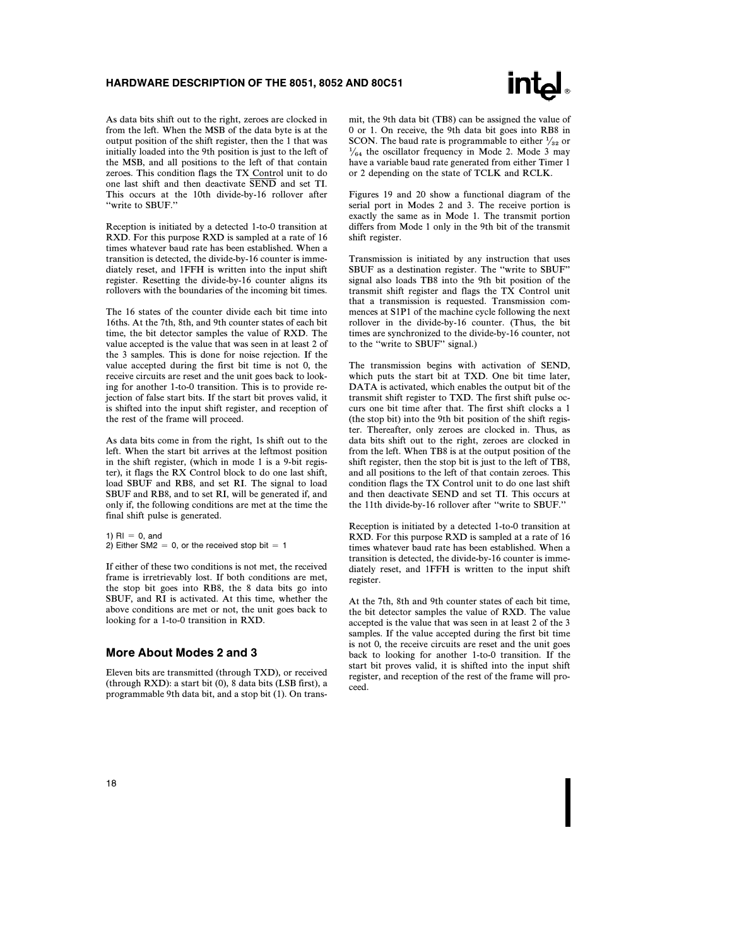

As data bits shift out to the right, zeroes are clocked in from the left. When the MSB of the data byte is at the output position of the shift register, then the 1 that was initially loaded into the 9th position is just to the left of the MSB, and all positions to the left of that contain zeroes. This condition flags the TX Control unit to do one last shift and then deactivate SEND and set TI. This occurs at the 10th divide-by-16 rollover after ''write to SBUF.''

Reception is initiated by a detected 1-to-0 transition at RXD. For this purpose RXD is sampled at a rate of 16 times whatever baud rate has been established. When a transition is detected, the divide-by-16 counter is immediately reset, and 1FFH is written into the input shift register. Resetting the divide-by-16 counter aligns its rollovers with the boundaries of the incoming bit times.

The 16 states of the counter divide each bit time into 16ths. At the 7th, 8th, and 9th counter states of each bit time, the bit detector samples the value of RXD. The value accepted is the value that was seen in at least 2 of the 3 samples. This is done for noise rejection. If the value accepted during the first bit time is not 0, the receive circuits are reset and the unit goes back to looking for another 1-to-0 transition. This is to provide rejection of false start bits. If the start bit proves valid, it is shifted into the input shift register, and reception of the rest of the frame will proceed.

As data bits come in from the right, 1s shift out to the left. When the start bit arrives at the leftmost position in the shift register, (which in mode 1 is a 9-bit register), it flags the RX Control block to do one last shift, load SBUF and RB8, and set RI. The signal to load SBUF and RB8, and to set RI, will be generated if, and only if, the following conditions are met at the time the final shift pulse is generated.

1)  $RI = 0$ , and 2) Either SM2 = 0, or the received stop bit = 1

If either of these two conditions is not met, the received frame is irretrievably lost. If both conditions are met, the stop bit goes into RB8, the 8 data bits go into SBUF, and RI is activated. At this time, whether the above conditions are met or not, the unit goes back to looking for a 1-to-0 transition in RXD.

#### More About Modes 2 and 3

Eleven bits are transmitted (through TXD), or received (through RXD): a start bit (0), 8 data bits (LSB first), a programmable 9th data bit, and a stop bit (1). On transmit, the 9th data bit (TB8) can be assigned the value of 0 or 1. On receive, the 9th data bit goes into RB8 in SCON. The baud rate is programmable to either  $\frac{1}{32}$  or  $\frac{1}{64}$  the oscillator frequency in Mode 2. Mode 3 may have a variable baud rate generated from either Timer 1 or 2 depending on the state of TCLK and RCLK.

Figures 19 and 20 show a functional diagram of the serial port in Modes 2 and 3. The receive portion is exactly the same as in Mode 1. The transmit portion differs from Mode 1 only in the 9th bit of the transmit shift register.

Transmission is initiated by any instruction that uses SBUF as a destination register. The ''write to SBUF'' signal also loads TB8 into the 9th bit position of the transmit shift register and flags the TX Control unit that a transmission is requested. Transmission commences at S1P1 of the machine cycle following the next rollover in the divide-by-16 counter. (Thus, the bit times are synchronized to the divide-by-16 counter, not to the ''write to SBUF'' signal.)

The transmission begins with activation of SEND, which puts the start bit at TXD. One bit time later, DATA is activated, which enables the output bit of the transmit shift register to TXD. The first shift pulse occurs one bit time after that. The first shift clocks a 1 (the stop bit) into the 9th bit position of the shift register. Thereafter, only zeroes are clocked in. Thus, as data bits shift out to the right, zeroes are clocked in from the left. When TB8 is at the output position of the shift register, then the stop bit is just to the left of TB8, and all positions to the left of that contain zeroes. This condition flags the TX Control unit to do one last shift and then deactivate SEND and set TI. This occurs at the 11th divide-by-16 rollover after ''write to SBUF.''

Reception is initiated by a detected 1-to-0 transition at RXD. For this purpose RXD is sampled at a rate of 16 times whatever baud rate has been established. When a transition is detected, the divide-by-16 counter is immediately reset, and 1FFH is written to the input shift register.

At the 7th, 8th and 9th counter states of each bit time, the bit detector samples the value of RXD. The value accepted is the value that was seen in at least 2 of the 3 samples. If the value accepted during the first bit time is not 0, the receive circuits are reset and the unit goes back to looking for another 1-to-0 transition. If the start bit proves valid, it is shifted into the input shift register, and reception of the rest of the frame will proceed.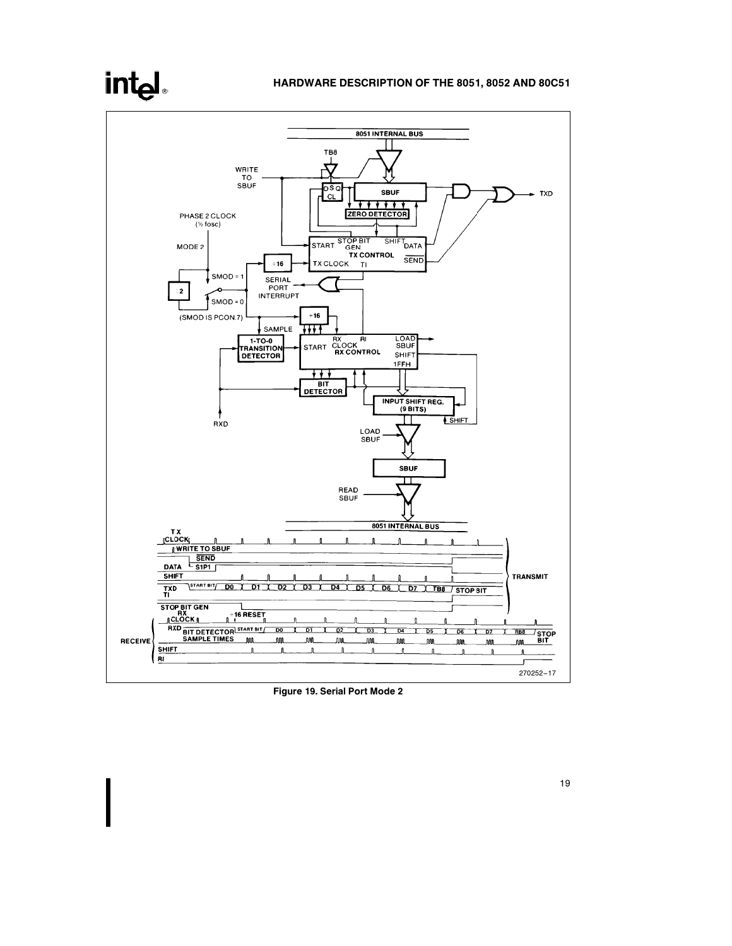# intel

# HARDWARE DESCRIPTION OF THE 8051, 8052 AND 80C51



Figure 19. Serial Port Mode 2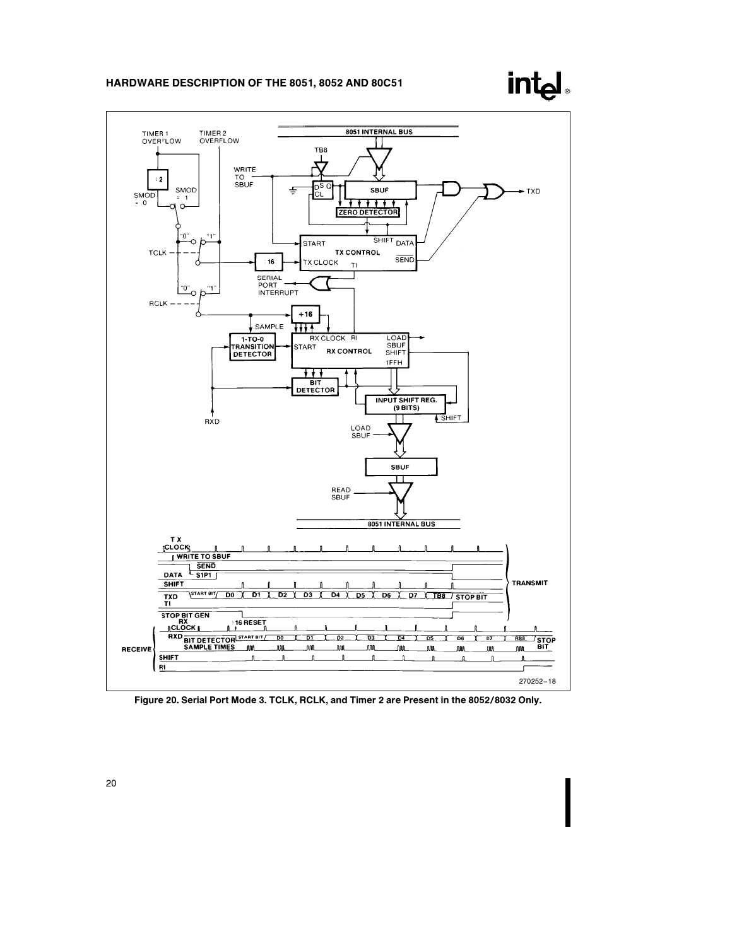



Figure 20. Serial Port Mode 3. TCLK, RCLK, and Timer 2 are Present in the 8052/8032 Only.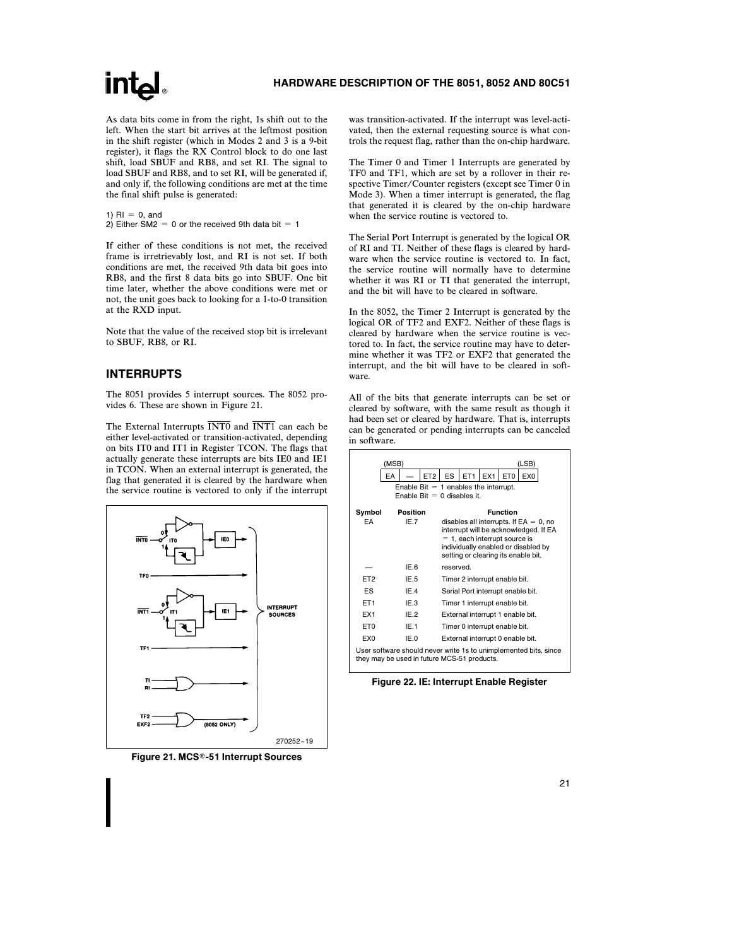As data bits come in from the right, 1s shift out to the left. When the start bit arrives at the leftmost position in the shift register (which in Modes 2 and 3 is a 9-bit register), it flags the RX Control block to do one last shift, load SBUF and RB8, and set RI. The signal to load SBUF and RB8, and to set RI, will be generated if, and only if, the following conditions are met at the time the final shift pulse is generated:

1)  $R1 = 0$ , and 2) Either SM2 = 0 or the received 9th data bit = 1

If either of these conditions is not met, the received frame is irretrievably lost, and RI is not set. If both conditions are met, the received 9th data bit goes into RB8, and the first 8 data bits go into SBUF. One bit time later, whether the above conditions were met or not, the unit goes back to looking for a 1-to-0 transition at the RXD input.

Note that the value of the received stop bit is irrelevant to SBUF, RB8, or RI.

# INTERRUPTS

The 8051 provides 5 interrupt sources. The 8052 provides 6. These are shown in Figure 21.

The External Interrupts  $\overline{\text{INT0}}$  and  $\overline{\text{INT1}}$  can each be either level-activated or transition-activated, depending on bits IT0 and IT1 in Register TCON. The flags that actually generate these interrupts are bits IE0 and IE1 in TCON. When an external interrupt is generated, the flag that generated it is cleared by the hardware when the service routine is vectored to only if the interrupt



Figure 21. MCS®-51 Interrupt Sources

was transition-activated. If the interrupt was level-activated, then the external requesting source is what controls the request flag, rather than the on-chip hardware.

The Timer 0 and Timer 1 Interrupts are generated by TF0 and TF1, which are set by a rollover in their respective Timer/Counter registers (except see Timer 0 in Mode 3). When a timer interrupt is generated, the flag that generated it is cleared by the on-chip hardware when the service routine is vectored to.

The Serial Port Interrupt is generated by the logical OR of RI and TI. Neither of these flags is cleared by hardware when the service routine is vectored to. In fact, the service routine will normally have to determine whether it was RI or TI that generated the interrupt, and the bit will have to be cleared in software.

In the 8052, the Timer 2 Interrupt is generated by the logical OR of TF2 and EXF2. Neither of these flags is cleared by hardware when the service routine is vectored to. In fact, the service routine may have to determine whether it was TF2 or EXF2 that generated the interrupt, and the bit will have to be cleared in software.

All of the bits that generate interrupts can be set or cleared by software, with the same result as though it had been set or cleared by hardware. That is, interrupts can be generated or pending interrupts can be canceled in software.

|                                             | (MSB) |                  |                 |           |                                                                          |     |                 | (LSB)                                                                                                                                                            |
|---------------------------------------------|-------|------------------|-----------------|-----------|--------------------------------------------------------------------------|-----|-----------------|------------------------------------------------------------------------------------------------------------------------------------------------------------------|
|                                             | EA    |                  | ET <sub>2</sub> | <b>ES</b> | ET <sub>1</sub>                                                          | EX1 | ET <sub>0</sub> | EX <sub>0</sub>                                                                                                                                                  |
|                                             |       |                  |                 |           | Enable Bit $= 1$ enables the interrupt.<br>Enable Bit $= 0$ disables it. |     |                 |                                                                                                                                                                  |
| Symbol<br>EA                                |       | Position<br>IE.7 |                 |           | $= 1$ , each interrupt source is                                         |     | <b>Function</b> | disables all interrupts. If $EA = 0$ , no<br>interrupt will be acknowledged. If EA<br>individually enabled or disabled by<br>setting or clearing its enable bit. |
|                                             |       | IE.6             |                 | reserved. |                                                                          |     |                 |                                                                                                                                                                  |
| ET <sub>2</sub>                             |       | IE.5             |                 |           | Timer 2 interrupt enable bit.                                            |     |                 |                                                                                                                                                                  |
| ES                                          |       | IE.4             |                 |           | Serial Port interrupt enable bit.                                        |     |                 |                                                                                                                                                                  |
| ET <sub>1</sub>                             |       | IE.3             |                 |           | Timer 1 interrupt enable bit.                                            |     |                 |                                                                                                                                                                  |
| EX <sub>1</sub>                             |       | IE.2             |                 |           | External interrupt 1 enable bit.                                         |     |                 |                                                                                                                                                                  |
| ET <sub>0</sub>                             |       | IE.1             |                 |           | Timer 0 interrupt enable bit.                                            |     |                 |                                                                                                                                                                  |
| EX <sub>0</sub>                             |       | IE.0             |                 |           | External interrupt 0 enable bit.                                         |     |                 |                                                                                                                                                                  |
| they may be used in future MCS-51 products. |       |                  |                 |           |                                                                          |     |                 | User software should never write 1s to unimplemented bits, since                                                                                                 |

Figure 22. IE: Interrupt Enable Register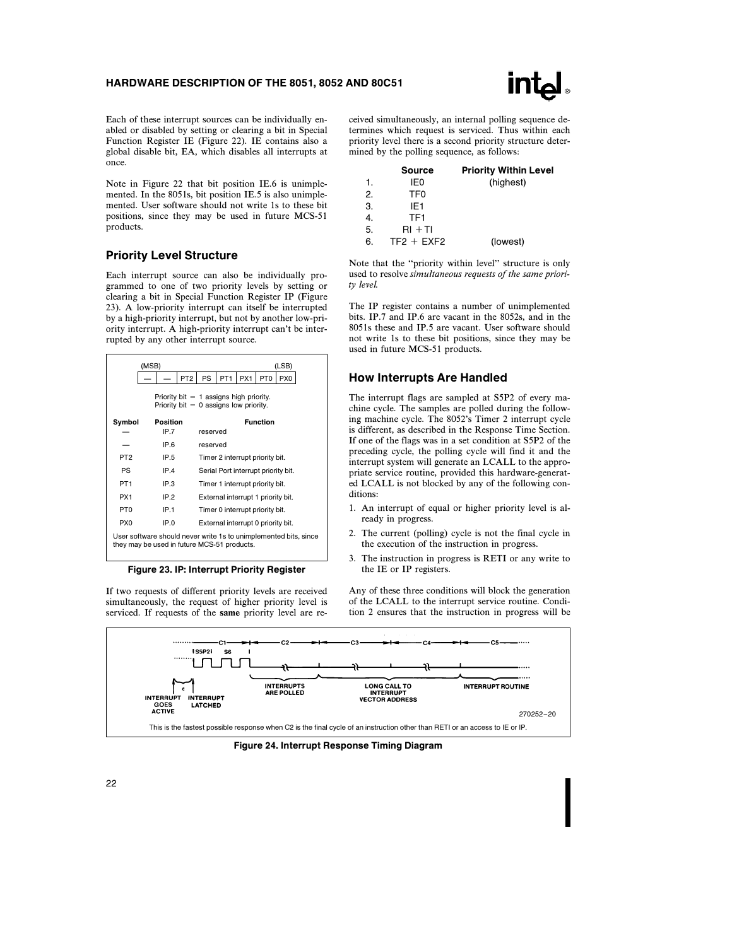

Each of these interrupt sources can be individually enabled or disabled by setting or clearing a bit in Special Function Register IE (Figure 22). IE contains also a global disable bit, EA, which disables all interrupts at once.

Note in Figure 22 that bit position IE.6 is unimplemented. In the 8051s, bit position IE.5 is also unimplemented. User software should not write 1s to these bit positions, since they may be used in future MCS-51 products.

## Priority Level Structure

Each interrupt source can also be individually programmed to one of two priority levels by setting or clearing a bit in Special Function Register IP (Figure 23). A low-priority interrupt can itself be interrupted by a high-priority interrupt, but not by another low-priority interrupt. A high-priority interrupt can't be interrupted by any other interrupt source.

|                 | (MSB)                                                                                                           |                 |           |                 |                                    |                 | (LSB)                               |
|-----------------|-----------------------------------------------------------------------------------------------------------------|-----------------|-----------|-----------------|------------------------------------|-----------------|-------------------------------------|
|                 |                                                                                                                 | PT <sub>2</sub> | <b>PS</b> | PT <sub>1</sub> | PX1                                | PT <sub>0</sub> | PX <sub>0</sub>                     |
|                 | Priority bit $= 1$ assigns high priority.<br>Priority bit $= 0$ assigns low priority.                           |                 |           |                 |                                    |                 |                                     |
| Symbol          | Position                                                                                                        |                 |           |                 |                                    | <b>Function</b> |                                     |
|                 | IP.7                                                                                                            |                 | reserved  |                 |                                    |                 |                                     |
|                 | IP.6                                                                                                            |                 | reserved  |                 |                                    |                 |                                     |
| PT <sub>2</sub> | IP.5                                                                                                            |                 |           |                 | Timer 2 interrupt priority bit.    |                 |                                     |
| PS              | IP.4                                                                                                            |                 |           |                 |                                    |                 | Serial Port interrupt priority bit. |
| PT <sub>1</sub> | IP.3                                                                                                            |                 |           |                 | Timer 1 interrupt priority bit.    |                 |                                     |
| PX <sub>1</sub> | IP.2                                                                                                            |                 |           |                 | External interrupt 1 priority bit. |                 |                                     |
| PT <sub>0</sub> | IP.1                                                                                                            |                 |           |                 | Timer 0 interrupt priority bit.    |                 |                                     |
| PX <sub>0</sub> | IP.0                                                                                                            |                 |           |                 | External interrupt 0 priority bit. |                 |                                     |
|                 | User software should never write 1s to unimplemented bits, since<br>they may be used in future MCS-51 products. |                 |           |                 |                                    |                 |                                     |

Figure 23. IP: Interrupt Priority Register

If two requests of different priority levels are received simultaneously, the request of higher priority level is serviced. If requests of the same priority level are received simultaneously, an internal polling sequence determines which request is serviced. Thus within each priority level there is a second priority structure determined by the polling sequence, as follows:

|    | <b>Source</b>   | <b>Priority Within Level</b> |
|----|-----------------|------------------------------|
| 1. | IE0             | (highest)                    |
| 2. | TF <sub>0</sub> |                              |
| 3. | IF1             |                              |
| 4. | TF <sub>1</sub> |                              |
| 5. | $RI + TI$       |                              |
| 6. | $TF2 + EXF2$    | (lowest)                     |
|    |                 |                              |

Note that the ''priority within level'' structure is only used to resolve simultaneous requests of the same priority level.

The IP register contains a number of unimplemented bits. IP.7 and IP.6 are vacant in the 8052s, and in the 8051s these and IP.5 are vacant. User software should not write 1s to these bit positions, since they may be used in future MCS-51 products.

#### How Interrupts Are Handled

The interrupt flags are sampled at S5P2 of every machine cycle. The samples are polled during the following machine cycle. The 8052's Timer 2 interrupt cycle is different, as described in the Response Time Section. If one of the flags was in a set condition at S5P2 of the preceding cycle, the polling cycle will find it and the interrupt system will generate an LCALL to the appropriate service routine, provided this hardware-generated LCALL is not blocked by any of the following conditions:

- 1. An interrupt of equal or higher priority level is already in progress.
- 2. The current (polling) cycle is not the final cycle in the execution of the instruction in progress.
- 3. The instruction in progress is RETI or any write to the IE or IP registers.

Any of these three conditions will block the generation of the LCALL to the interrupt service routine. Condition 2 ensures that the instruction in progress will be



Figure 24. Interrupt Response Timing Diagram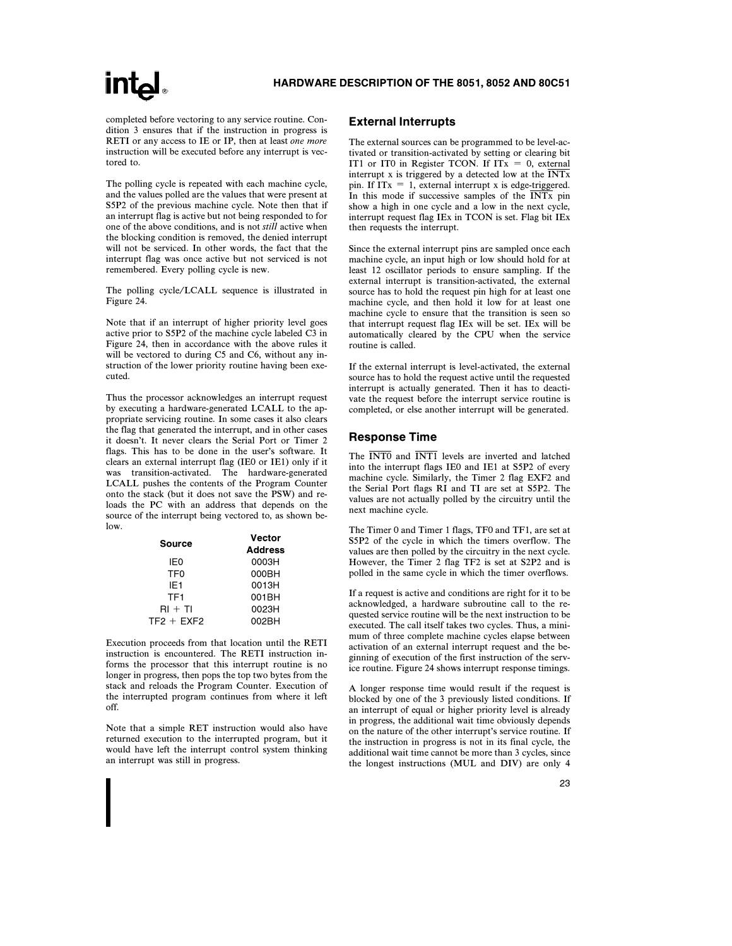completed before vectoring to any service routine. Condition 3 ensures that if the instruction in progress is RETI or any access to IE or IP, then at least one more instruction will be executed before any interrupt is vectored to.

The polling cycle is repeated with each machine cycle, and the values polled are the values that were present at S5P2 of the previous machine cycle. Note then that if an interrupt flag is active but not being responded to for one of the above conditions, and is not still active when the blocking condition is removed, the denied interrupt will not be serviced. In other words, the fact that the interrupt flag was once active but not serviced is not remembered. Every polling cycle is new.

The polling cycle/LCALL sequence is illustrated in Figure 24.

Note that if an interrupt of higher priority level goes active prior to S5P2 of the machine cycle labeled C3 in Figure 24, then in accordance with the above rules it will be vectored to during C5 and C6, without any instruction of the lower priority routine having been executed.

Thus the processor acknowledges an interrupt request by executing a hardware-generated LCALL to the appropriate servicing routine. In some cases it also clears the flag that generated the interrupt, and in other cases it doesn't. It never clears the Serial Port or Timer 2 flags. This has to be done in the user's software. It clears an external interrupt flag (IE0 or IE1) only if it was transition-activated. The hardware-generated LCALL pushes the contents of the Program Counter onto the stack (but it does not save the PSW) and reloads the PC with an address that depends on the source of the interrupt being vectored to, as shown below.

| Source          | <b>Vector</b>  |
|-----------------|----------------|
|                 | <b>Address</b> |
| IF0             | 0003H          |
| TF <sub>0</sub> | 000BH          |
| IF <sub>1</sub> | 0013H          |
| TF <sub>1</sub> | 001BH          |
| $RI + TI$       | 0023H          |
| $TF2 + EXF2$    | 002BH          |

Execution proceeds from that location until the RETI instruction is encountered. The RETI instruction informs the processor that this interrupt routine is no longer in progress, then pops the top two bytes from the stack and reloads the Program Counter. Execution of the interrupted program continues from where it left off.

Note that a simple RET instruction would also have returned execution to the interrupted program, but it would have left the interrupt control system thinking an interrupt was still in progress.

#### External Interrupts

The external sources can be programmed to be level-activated or transition-activated by setting or clearing bit IT1 or IT0 in Register TCON. If  $ITx = 0$ , external interrupt x is triggered by a detected low at the  $\overline{\text{INTx}}$ pin. If  $ITx = 1$ , external interrupt x is edge-triggered. In this mode if successive samples of the  $\overline{INTx}$  pin show a high in one cycle and a low in the next cycle, interrupt request flag IEx in TCON is set. Flag bit IEx then requests the interrupt.

Since the external interrupt pins are sampled once each machine cycle, an input high or low should hold for at least 12 oscillator periods to ensure sampling. If the external interrupt is transition-activated, the external source has to hold the request pin high for at least one machine cycle, and then hold it low for at least one machine cycle to ensure that the transition is seen so that interrupt request flag IEx will be set. IEx will be automatically cleared by the CPU when the service routine is called.

If the external interrupt is level-activated, the external source has to hold the request active until the requested interrupt is actually generated. Then it has to deactivate the request before the interrupt service routine is completed, or else another interrupt will be generated.

### Response Time

The  $\overline{INT0}$  and  $\overline{INT1}$  levels are inverted and latched into the interrupt flags IE0 and IE1 at S5P2 of every machine cycle. Similarly, the Timer 2 flag EXF2 and the Serial Port flags RI and TI are set at S5P2. The values are not actually polled by the circuitry until the next machine cycle.

The Timer 0 and Timer 1 flags, TF0 and TF1, are set at S5P2 of the cycle in which the timers overflow. The values are then polled by the circuitry in the next cycle. However, the Timer 2 flag TF2 is set at S2P2 and is polled in the same cycle in which the timer overflows.

If a request is active and conditions are right for it to be acknowledged, a hardware subroutine call to the requested service routine will be the next instruction to be executed. The call itself takes two cycles. Thus, a minimum of three complete machine cycles elapse between activation of an external interrupt request and the beginning of execution of the first instruction of the service routine. Figure 24 shows interrupt response timings.

A longer response time would result if the request is blocked by one of the 3 previously listed conditions. If an interrupt of equal or higher priority level is already in progress, the additional wait time obviously depends on the nature of the other interrupt's service routine. If the instruction in progress is not in its final cycle, the additional wait time cannot be more than 3 cycles, since the longest instructions (MUL and DIV) are only 4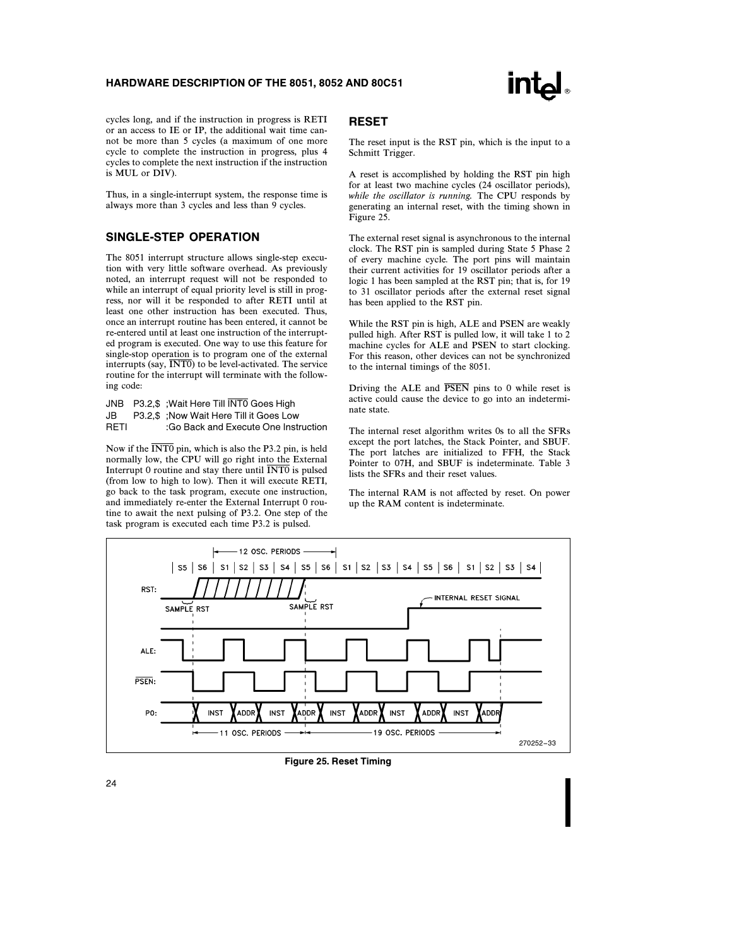

cycles long, and if the instruction in progress is RETI or an access to IE or IP, the additional wait time cannot be more than 5 cycles (a maximum of one more cycle to complete the instruction in progress, plus 4 cycles to complete the next instruction if the instruction is MUL or DIV).

Thus, in a single-interrupt system, the response time is always more than 3 cycles and less than 9 cycles.

# SINGLE-STEP OPERATION

The 8051 interrupt structure allows single-step execution with very little software overhead. As previously noted, an interrupt request will not be responded to while an interrupt of equal priority level is still in progress, nor will it be responded to after RETI until at least one other instruction has been executed. Thus, once an interrupt routine has been entered, it cannot be re-entered until at least one instruction of the interrupted program is executed. One way to use this feature for single-stop operation is to program one of the external interrupts (say,  $\overline{\text{INT0}}$ ) to be level-activated. The service routine for the interrupt will terminate with the following code:

- JNB P3.2,\$ ;Wait Here Till INT0 Goes High
- JB P3.2,\$ ;Now Wait Here Till it Goes Low
- RETI :Go Back and Execute One Instruction

Now if the  $\overline{\text{INT0}}$  pin, which is also the P3.2 pin, is held normally low, the CPU will go right into the External Interrupt 0 routine and stay there until  $\overline{\text{INT0}}$  is pulsed (from low to high to low). Then it will execute RETI, go back to the task program, execute one instruction, and immediately re-enter the External Interrupt 0 routine to await the next pulsing of P3.2. One step of the task program is executed each time P3.2 is pulsed.

### RESET

The reset input is the RST pin, which is the input to a Schmitt Trigger.

A reset is accomplished by holding the RST pin high for at least two machine cycles (24 oscillator periods), while the oscillator is running. The CPU responds by generating an internal reset, with the timing shown in Figure 25.

The external reset signal is asynchronous to the internal clock. The RST pin is sampled during State 5 Phase 2 of every machine cycle. The port pins will maintain their current activities for 19 oscillator periods after a logic 1 has been sampled at the RST pin; that is, for 19 to 31 oscillator periods after the external reset signal has been applied to the RST pin.

While the RST pin is high, ALE and PSEN are weakly pulled high. After RST is pulled low, it will take 1 to 2 machine cycles for ALE and PSEN to start clocking. For this reason, other devices can not be synchronized to the internal timings of the 8051.

Driving the ALE and  $\overline{PSEN}$  pins to 0 while reset is active could cause the device to go into an indeterminate state.

The internal reset algorithm writes 0s to all the SFRs except the port latches, the Stack Pointer, and SBUF. The port latches are initialized to FFH, the Stack Pointer to 07H, and SBUF is indeterminate. Table 3 lists the SFRs and their reset values.

The internal RAM is not affected by reset. On power up the RAM content is indeterminate.



Figure 25. Reset Timing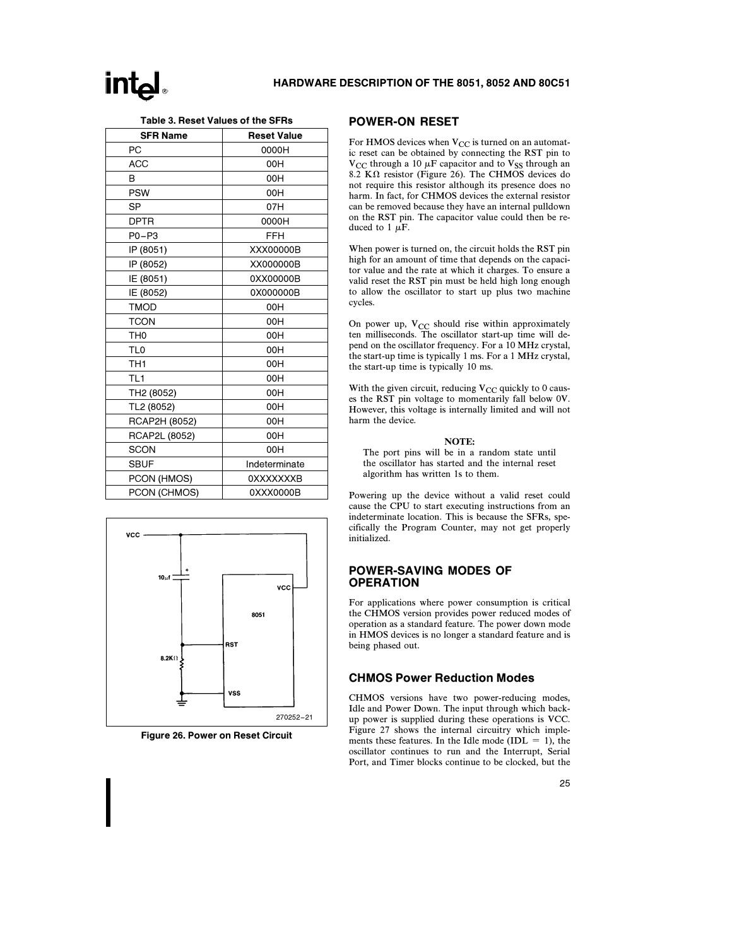| Table 3. Reset Values of the SFRs |  |
|-----------------------------------|--|
|-----------------------------------|--|

| <b>SFR Name</b> | <b>Reset Value</b> |
|-----------------|--------------------|
| PC              | 0000H              |
| <b>ACC</b>      | 00H                |
| B               | 00H                |
| <b>PSW</b>      | 00H                |
| SP              | 07H                |
| <b>DPTR</b>     | 0000H              |
| $P0 - P3$       | FFH                |
| IP (8051)       | XXX00000B          |
| IP (8052)       | XX000000B          |
| IE (8051)       | 0XX00000B          |
| IE (8052)       | 0X000000B          |
| <b>TMOD</b>     | 00H                |
| <b>TCON</b>     | 00H                |
| TH <sub>0</sub> | 00H                |
| TL <sub>0</sub> | 00H                |
| TH1             | 00H                |
| TL <sub>1</sub> | 00H                |
| TH2 (8052)      | 00H                |
| TL2 (8052)      | 00H                |
| RCAP2H (8052)   | 00H                |
| RCAP2L (8052)   | 00H                |
| <b>SCON</b>     | 00H                |
| <b>SBUF</b>     | Indeterminate      |
| PCON (HMOS)     | <b>OXXXXXXXB</b>   |
| PCON (CHMOS)    | 0XXX0000B          |

# **VCC**  $10\mu$ vcc 8051 **RST**  $8.2K\Omega$ vss 270252 –21

Figure 26. Power on Reset Circuit

### POWER-ON RESET

For HMOS devices when  $V_{CC}$  is turned on an automatic reset can be obtained by connecting the RST pin to  $V_{CC}$  through a 10  $\mu$ F capacitor and to  $V_{SS}$  through an 8.2 K $\Omega$  resistor (Figure 26). The CHMOS devices do not require this resistor although its presence does no harm. In fact, for CHMOS devices the external resistor can be removed because they have an internal pulldown on the RST pin. The capacitor value could then be reduced to 1  $\mu$ F.

When power is turned on, the circuit holds the RST pin high for an amount of time that depends on the capacitor value and the rate at which it charges. To ensure a valid reset the RST pin must be held high long enough to allow the oscillator to start up plus two machine cycles.

On power up,  $V_{CC}$  should rise within approximately ten milliseconds. The oscillator start-up time will depend on the oscillator frequency. For a 10 MHz crystal, the start-up time is typically 1 ms. For a 1 MHz crystal, the start-up time is typically 10 ms.

With the given circuit, reducing  $V_{CC}$  quickly to 0 causes the RST pin voltage to momentarily fall below 0V. However, this voltage is internally limited and will not harm the device.

#### NOTE:

The port pins will be in a random state until the oscillator has started and the internal reset algorithm has written 1s to them.

Powering up the device without a valid reset could cause the CPU to start executing instructions from an indeterminate location. This is because the SFRs, specifically the Program Counter, may not get properly initialized.

## POWER-SAVING MODES OF **OPERATION**

For applications where power consumption is critical the CHMOS version provides power reduced modes of operation as a standard feature. The power down mode in HMOS devices is no longer a standard feature and is being phased out.

### CHMOS Power Reduction Modes

CHMOS versions have two power-reducing modes, Idle and Power Down. The input through which backup power is supplied during these operations is VCC. Figure 27 shows the internal circuitry which implements these features. In the Idle mode (IDL = 1), the oscillator continues to run and the Interrupt, Serial Port, and Timer blocks continue to be clocked, but the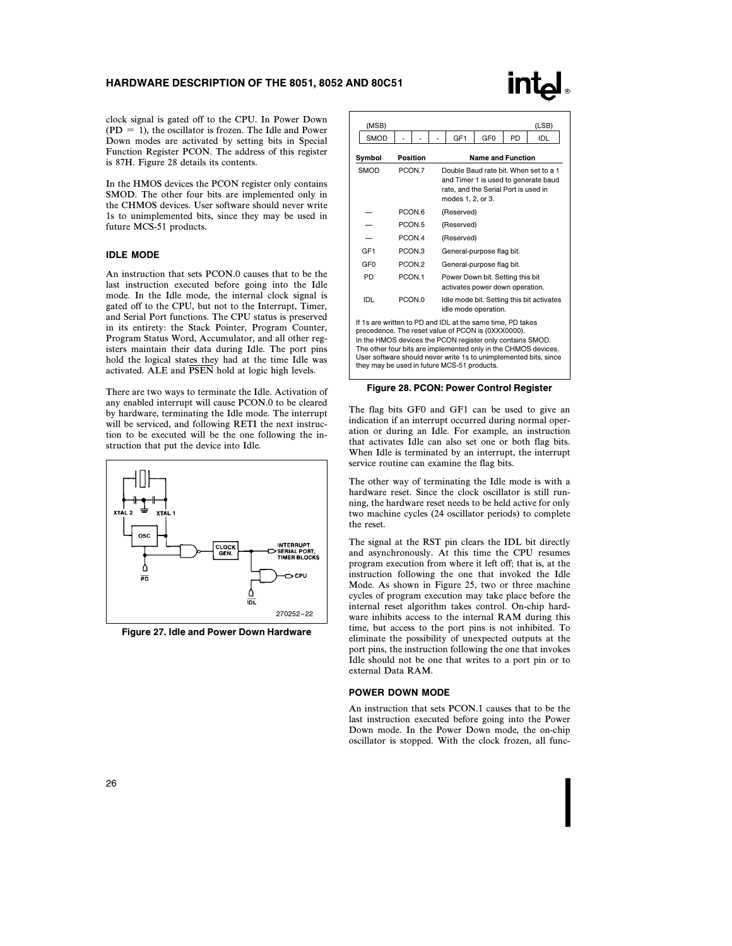# **intal**

clock signal is gated off to the CPU. In Power Down  $(PD = 1)$ , the oscillator is frozen. The Idle and Power Down modes are activated by setting bits in Special Function Register PCON. The address of this register is 87H. Figure 28 details its contents.

In the HMOS devices the PCON register only contains SMOD. The other four bits are implemented only in the CHMOS devices. User software should never write 1s to unimplemented bits, since they may be used in future MCS-51 products.

#### IDLE MODE

An instruction that sets PCON.0 causes that to be the last instruction executed before going into the Idle mode. In the Idle mode, the internal clock signal is gated off to the CPU, but not to the Interrupt, Timer, and Serial Port functions. The CPU status is preserved in its entirety: the Stack Pointer, Program Counter, Program Status Word, Accumulator, and all other registers maintain their data during Idle. The port pins hold the logical states they had at the time Idle was activated. ALE and PSEN hold at logic high levels.

There are two ways to terminate the Idle. Activation of any enabled interrupt will cause PCON.0 to be cleared by hardware, terminating the Idle mode. The interrupt will be serviced, and following RETI the next instruction to be executed will be the one following the instruction that put the device into Idle.



Figure 27. Idle and Power Down Hardware

| (MSB)           |                                      |  |                                                                     |                                                                                                                                            |                 |           | (LSB)                                     |  |  |
|-----------------|--------------------------------------|--|---------------------------------------------------------------------|--------------------------------------------------------------------------------------------------------------------------------------------|-----------------|-----------|-------------------------------------------|--|--|
| <b>SMOD</b>     |                                      |  |                                                                     | GF <sub>1</sub>                                                                                                                            | GF <sub>0</sub> | <b>PD</b> | <b>IDL</b>                                |  |  |
| Symbol          | <b>Name and Function</b><br>Position |  |                                                                     |                                                                                                                                            |                 |           |                                           |  |  |
| <b>SMOD</b>     | PCON.7                               |  |                                                                     | Double Baud rate bit. When set to a 1<br>and Timer 1 is used to generate baud<br>rate, and the Serial Port is used in<br>modes 1, 2, or 3. |                 |           |                                           |  |  |
|                 | PCON.6                               |  | (Reserved)                                                          |                                                                                                                                            |                 |           |                                           |  |  |
|                 | PCON <sub>5</sub>                    |  |                                                                     | (Reserved)                                                                                                                                 |                 |           |                                           |  |  |
|                 | PCON.4                               |  | (Reserved)                                                          |                                                                                                                                            |                 |           |                                           |  |  |
| GF <sub>1</sub> | PCON.3                               |  | General-purpose flag bit.                                           |                                                                                                                                            |                 |           |                                           |  |  |
| GF <sub>0</sub> | PCON <sub>2</sub>                    |  |                                                                     | General-purpose flag bit.                                                                                                                  |                 |           |                                           |  |  |
| PD              | PCON.1                               |  | Power Down bit. Setting this bit<br>activates power down operation. |                                                                                                                                            |                 |           |                                           |  |  |
| IDL             | PCON.0                               |  |                                                                     | idle mode operation.                                                                                                                       |                 |           | Idle mode bit. Setting this bit activates |  |  |

If 1s are written to PD and IDL at the same time, PD takes precedence. The reset value of PCON is (0XXX0000). In the HMOS devices the PCON register only contains SMOD. The other four bits are implemented only in the CHMOS devices. User software should never write 1s to unimplemented bits, since they may be used in future MCS-51 products.

#### Figure 28. PCON: Power Control Register

The flag bits GF0 and GF1 can be used to give an indication if an interrupt occurred during normal operation or during an Idle. For example, an instruction that activates Idle can also set one or both flag bits. When Idle is terminated by an interrupt, the interrupt service routine can examine the flag bits.

The other way of terminating the Idle mode is with a hardware reset. Since the clock oscillator is still running, the hardware reset needs to be held active for only two machine cycles (24 oscillator periods) to complete the reset.

The signal at the RST pin clears the IDL bit directly and asynchronously. At this time the CPU resumes program execution from where it left off; that is, at the instruction following the one that invoked the Idle Mode. As shown in Figure 25, two or three machine cycles of program execution may take place before the internal reset algorithm takes control. On-chip hardware inhibits access to the internal RAM during this time, but access to the port pins is not inhibited. To eliminate the possibility of unexpected outputs at the port pins, the instruction following the one that invokes Idle should not be one that writes to a port pin or to external Data RAM.

### POWER DOWN MODE

An instruction that sets PCON.1 causes that to be the last instruction executed before going into the Power Down mode. In the Power Down mode, the on-chip oscillator is stopped. With the clock frozen, all func-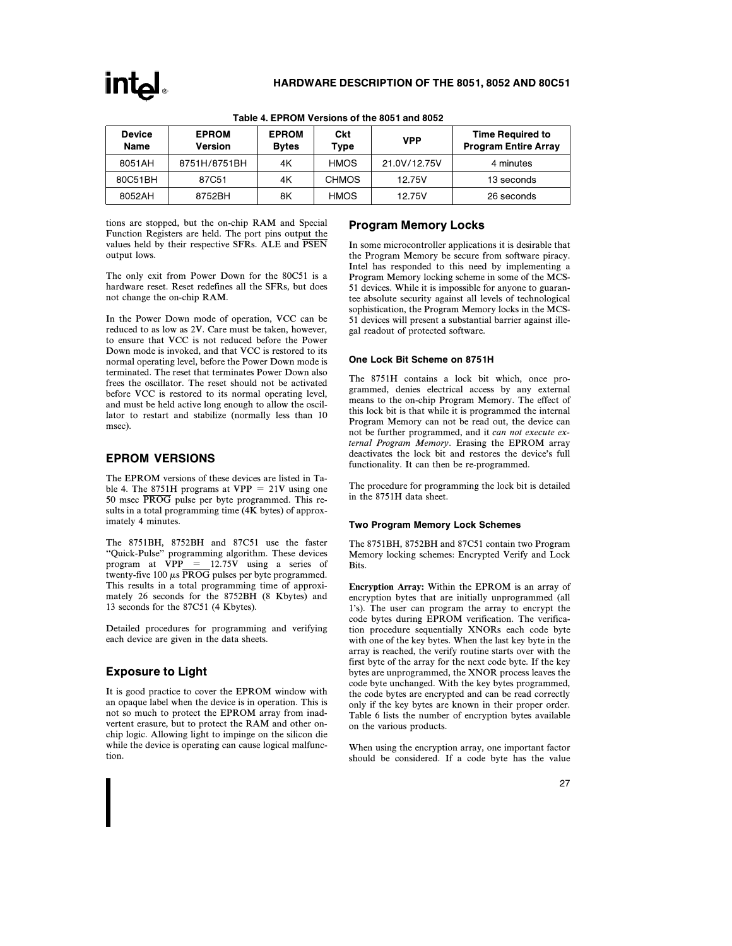| <b>Device</b><br>Name | <b>EPROM</b><br><b>Version</b> | <b>EPROM</b><br><b>Bytes</b> | Ckt<br>Type  | <b>VPP</b>   | <b>Time Required to</b><br><b>Program Entire Array</b> |
|-----------------------|--------------------------------|------------------------------|--------------|--------------|--------------------------------------------------------|
| 8051AH                | 8751H/8751BH                   | 4K                           | <b>HMOS</b>  | 21.0V/12.75V | 4 minutes                                              |
| 80C51BH               | 87C51                          | 4K                           | <b>CHMOS</b> | 12.75V       | 13 seconds                                             |
| 8052AH                | 8752BH                         | 8K                           | <b>HMOS</b>  | 12.75V       | 26 seconds                                             |

#### Table 4. EPROM Versions of the 8051 and 8052

tions are stopped, but the on-chip RAM and Special Function Registers are held. The port pins output the values held by their respective SFRs. ALE and PSEN output lows.

The only exit from Power Down for the 80C51 is a hardware reset. Reset redefines all the SFRs, but does not change the on-chip RAM.

In the Power Down mode of operation, VCC can be reduced to as low as 2V. Care must be taken, however, to ensure that VCC is not reduced before the Power Down mode is invoked, and that VCC is restored to its normal operating level, before the Power Down mode is terminated. The reset that terminates Power Down also frees the oscillator. The reset should not be activated before VCC is restored to its normal operating level, and must be held active long enough to allow the oscillator to restart and stabilize (normally less than 10 msec).

## EPROM VERSIONS

The EPROM versions of these devices are listed in Table 4. The 8751H programs at  $VPP = 21V$  using one 50 msec PROG pulse per byte programmed. This results in a total programming time (4K bytes) of approximately 4 minutes.

The 8751BH, 8752BH and 87C51 use the faster ''Quick-Pulse'' programming algorithm. These devices program at  $VPP = 12.75V$  using a series of twenty-five 100  $\mu s \overline{\text{PROG}}$  pulses per byte programmed. This results in a total programming time of approximately 26 seconds for the 8752BH (8 Kbytes) and 13 seconds for the 87C51 (4 Kbytes).

Detailed procedures for programming and verifying each device are given in the data sheets.

### Exposure to Light

It is good practice to cover the EPROM window with an opaque label when the device is in operation. This is not so much to protect the EPROM array from inadvertent erasure, but to protect the RAM and other onchip logic. Allowing light to impinge on the silicon die while the device is operating can cause logical malfunction.

### Program Memory Locks

In some microcontroller applications it is desirable that the Program Memory be secure from software piracy. Intel has responded to this need by implementing a Program Memory locking scheme in some of the MCS-51 devices. While it is impossible for anyone to guarantee absolute security against all levels of technological sophistication, the Program Memory locks in the MCS-51 devices will present a substantial barrier against illegal readout of protected software.

#### One Lock Bit Scheme on 8751H

The 8751H contains a lock bit which, once programmed, denies electrical access by any external means to the on-chip Program Memory. The effect of this lock bit is that while it is programmed the internal Program Memory can not be read out, the device can not be further programmed, and it can not execute external Program Memory. Erasing the EPROM array deactivates the lock bit and restores the device's full functionality. It can then be re-programmed.

The procedure for programming the lock bit is detailed in the 8751H data sheet.

#### Two Program Memory Lock Schemes

The 8751BH, 8752BH and 87C51 contain two Program Memory locking schemes: Encrypted Verify and Lock Bits.

Encryption Array: Within the EPROM is an array of encryption bytes that are initially unprogrammed (all 1's). The user can program the array to encrypt the code bytes during EPROM verification. The verification procedure sequentially XNORs each code byte with one of the key bytes. When the last key byte in the array is reached, the verify routine starts over with the first byte of the array for the next code byte. If the key bytes are unprogrammed, the XNOR process leaves the code byte unchanged. With the key bytes programmed, the code bytes are encrypted and can be read correctly only if the key bytes are known in their proper order. Table 6 lists the number of encryption bytes available on the various products.

When using the encryption array, one important factor should be considered. If a code byte has the value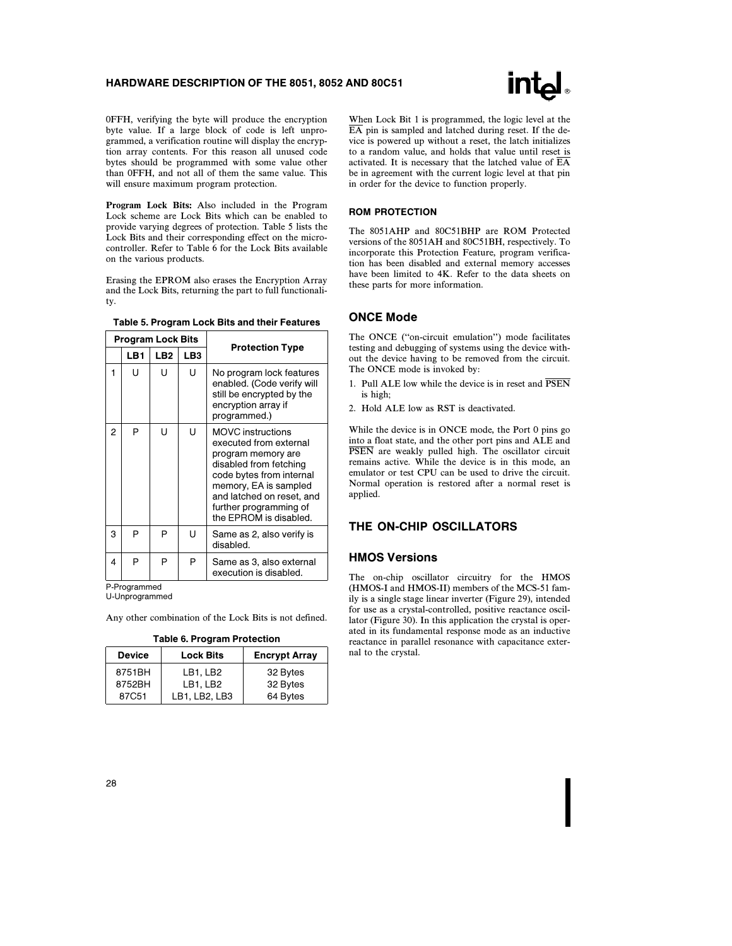

0FFH, verifying the byte will produce the encryption byte value. If a large block of code is left unprogrammed, a verification routine will display the encryption array contents. For this reason all unused code bytes should be programmed with some value other than 0FFH, and not all of them the same value. This will ensure maximum program protection.

Program Lock Bits: Also included in the Program Lock scheme are Lock Bits which can be enabled to provide varying degrees of protection. Table 5 lists the Lock Bits and their corresponding effect on the microcontroller. Refer to Table 6 for the Lock Bits available on the various products.

Erasing the EPROM also erases the Encryption Array and the Lock Bits, returning the part to full functionality.

| Table 5. Program Lock Bits and their Features |  |  |  |  |
|-----------------------------------------------|--|--|--|--|
|-----------------------------------------------|--|--|--|--|

|   | <b>Program Lock Bits</b> |                 |                 |                                                                                                                                                                                                                                          |
|---|--------------------------|-----------------|-----------------|------------------------------------------------------------------------------------------------------------------------------------------------------------------------------------------------------------------------------------------|
|   | LB1                      | LB <sub>2</sub> | LB <sub>3</sub> | <b>Protection Type</b>                                                                                                                                                                                                                   |
| 1 | U                        | U               | U               | No program lock features<br>enabled. (Code verify will<br>still be encrypted by the<br>encryption array if<br>programmed.)                                                                                                               |
| 2 | P                        | Ū               | U               | <b>MOVC</b> instructions<br>executed from external<br>program memory are<br>disabled from fetching<br>code bytes from internal<br>memory, EA is sampled<br>and latched on reset, and<br>further programming of<br>the EPROM is disabled. |
| 3 | P                        | P               | U               | Same as 2, also verify is<br>disabled.                                                                                                                                                                                                   |
| 4 | P                        | P               | P               | Same as 3, also external<br>execution is disabled.                                                                                                                                                                                       |

P-Programmed

U-Unprogrammed

Any other combination of the Lock Bits is not defined.

|  |  | Table 6. Program Protection |
|--|--|-----------------------------|
|--|--|-----------------------------|

| <b>Device</b> | <b>Lock Bits</b> | <b>Encrypt Array</b> |
|---------------|------------------|----------------------|
| 8751BH        | LB1, LB2         | 32 Bytes             |
| 8752BH        | LB1, LB2         | 32 Bytes             |
| 87C51         | LB1, LB2, LB3    | 64 Bytes             |

When Lock Bit 1 is programmed, the logic level at the EA pin is sampled and latched during reset. If the device is powered up without a reset, the latch initializes to a random value, and holds that value until reset is activated. It is necessary that the latched value of EA be in agreement with the current logic level at that pin in order for the device to function properly.

#### ROM PROTECTION

The 8051AHP and 80C51BHP are ROM Protected versions of the 8051AH and 80C51BH, respectively. To incorporate this Protection Feature, program verification has been disabled and external memory accesses have been limited to 4K. Refer to the data sheets on these parts for more information.

#### ONCE Mode

The ONCE (''on-circuit emulation'') mode facilitates testing and debugging of systems using the device without the device having to be removed from the circuit. The ONCE mode is invoked by:

- 1. Pull ALE low while the device is in reset and PSEN is high;
- 2. Hold ALE low as RST is deactivated.

While the device is in ONCE mode, the Port 0 pins go into a float state, and the other port pins and ALE and PSEN are weakly pulled high. The oscillator circuit remains active. While the device is in this mode, an emulator or test CPU can be used to drive the circuit. Normal operation is restored after a normal reset is applied.

### THE ON-CHIP OSCILLATORS

#### HMOS Versions

The on-chip oscillator circuitry for the HMOS (HMOS-I and HMOS-II) members of the MCS-51 family is a single stage linear inverter (Figure 29), intended for use as a crystal-controlled, positive reactance oscillator (Figure 30). In this application the crystal is operated in its fundamental response mode as an inductive reactance in parallel resonance with capacitance external to the crystal.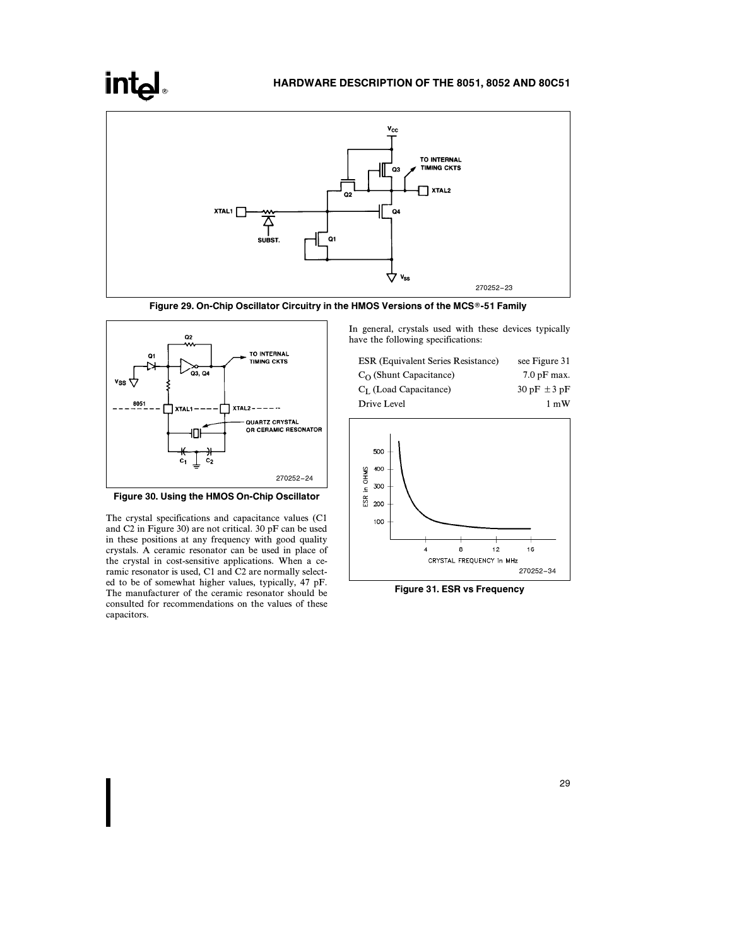# **intel**

# HARDWARE DESCRIPTION OF THE 8051, 8052 AND 80C51



Figure 29. On-Chip Oscillator Circuitry in the HMOS Versions of the MCS®-51 Family





The crystal specifications and capacitance values (C1 and C2 in Figure 30) are not critical. 30 pF can be used in these positions at any frequency with good quality crystals. A ceramic resonator can be used in place of the crystal in cost-sensitive applications. When a ceramic resonator is used, C1 and C2 are normally selected to be of somewhat higher values, typically, 47 pF. The manufacturer of the ceramic resonator should be consulted for recommendations on the values of these capacitors.

In general, crystals used with these devices typically have the following specifications:

| <b>ESR</b> (Equivalent Series Resistance) | see Figure 31    |
|-------------------------------------------|------------------|
| $C_{\Omega}$ (Shunt Capacitance)          | $7.0$ pF max.    |
| $C_I$ (Load Capacitance)                  | $30 pF \pm 3 pF$ |
| Drive Level                               | $1 \text{ mW}$   |



Figure 31. ESR vs Frequency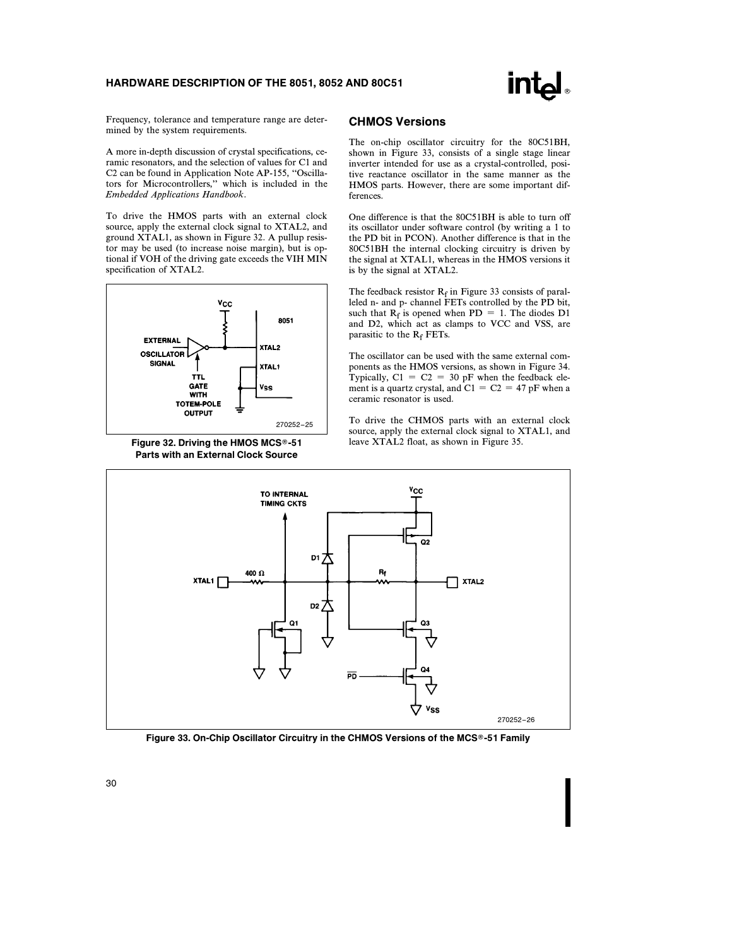

Frequency, tolerance and temperature range are determined by the system requirements.

A more in-depth discussion of crystal specifications, ceramic resonators, and the selection of values for C1 and C2 can be found in Application Note AP-155, ''Oscillators for Microcontrollers,'' which is included in the Embedded Applications Handbook.

To drive the HMOS parts with an external clock source, apply the external clock signal to XTAL2, and ground XTAL1, as shown in Figure 32. A pullup resistor may be used (to increase noise margin), but is optional if VOH of the driving gate exceeds the VIH MIN specification of XTAL2.



Figure 32. Driving the HMOS MCS®-51 Parts with an External Clock Source

#### CHMOS Versions

The on-chip oscillator circuitry for the 80C51BH, shown in Figure 33, consists of a single stage linear inverter intended for use as a crystal-controlled, positive reactance oscillator in the same manner as the HMOS parts. However, there are some important differences.

One difference is that the 80C51BH is able to turn off its oscillator under software control (by writing a 1 to the PD bit in PCON). Another difference is that in the 80C51BH the internal clocking circuitry is driven by the signal at XTAL1, whereas in the HMOS versions it is by the signal at XTAL2.

The feedback resistor  $R_f$  in Figure 33 consists of paralleled n- and p- channel FETs controlled by the PD bit, such that  $R_f$  is opened when PD = 1. The diodes D1 and D2, which act as clamps to VCC and VSS, are parasitic to the  $R_f$  FETs.

The oscillator can be used with the same external components as the HMOS versions, as shown in Figure 34. Typically,  $C1 = C2 = 30$  pF when the feedback element is a quartz crystal, and  $C1 = C2 = 47$  pF when a ceramic resonator is used.

To drive the CHMOS parts with an external clock source, apply the external clock signal to XTAL1, and leave XTAL2 float, as shown in Figure 35.



Figure 33. On-Chip Oscillator Circuitry in the CHMOS Versions of the MCS®-51 Family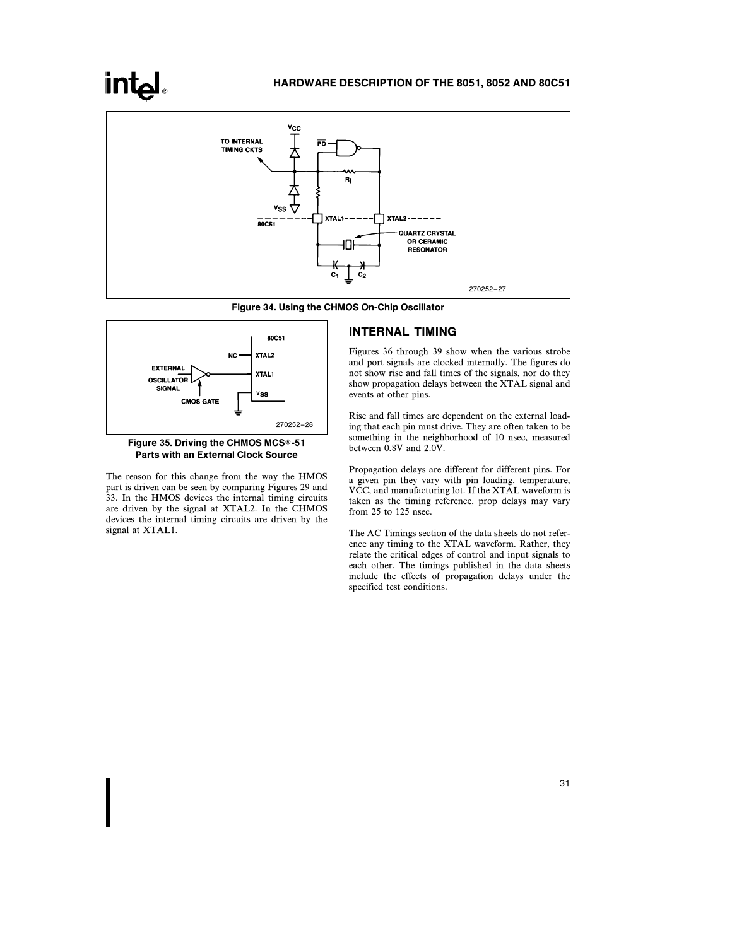

Figure 34. Using the CHMOS On-Chip Oscillator





The reason for this change from the way the HMOS part is driven can be seen by comparing Figures 29 and 33. In the HMOS devices the internal timing circuits are driven by the signal at XTAL2. In the CHMOS devices the internal timing circuits are driven by the signal at XTAL1.

#### INTERNAL TIMING

Figures 36 through 39 show when the various strobe and port signals are clocked internally. The figures do not show rise and fall times of the signals, nor do they show propagation delays between the XTAL signal and events at other pins.

Rise and fall times are dependent on the external loading that each pin must drive. They are often taken to be something in the neighborhood of 10 nsec, measured between 0.8V and 2.0V.

Propagation delays are different for different pins. For a given pin they vary with pin loading, temperature, VCC, and manufacturing lot. If the XTAL waveform is taken as the timing reference, prop delays may vary from 25 to 125 nsec.

The AC Timings section of the data sheets do not reference any timing to the XTAL waveform. Rather, they relate the critical edges of control and input signals to each other. The timings published in the data sheets include the effects of propagation delays under the specified test conditions.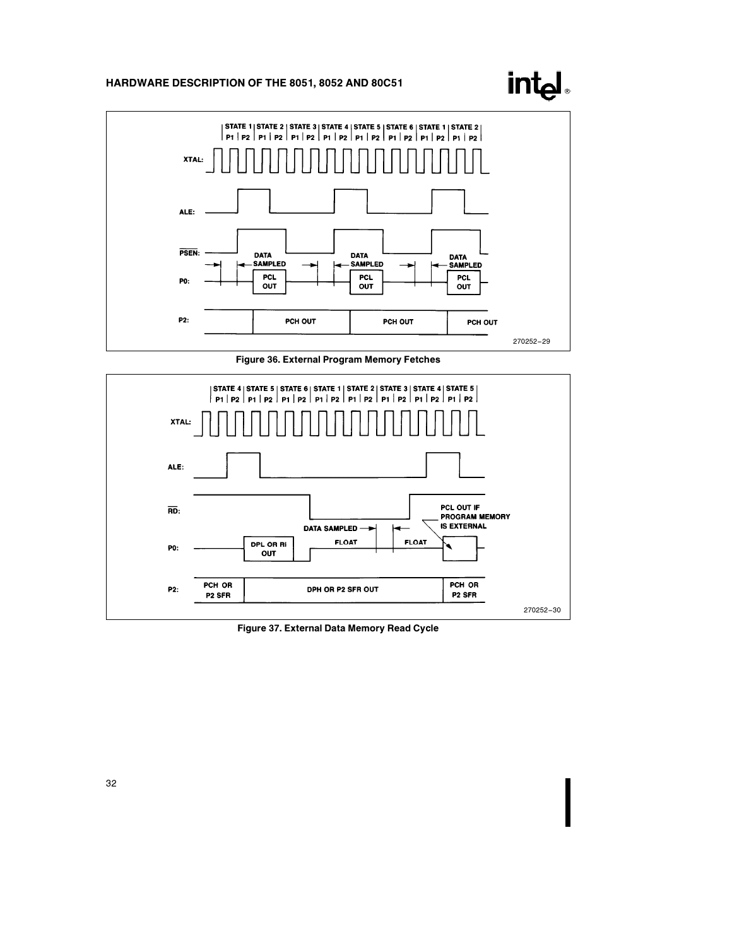

intd.

Figure 36. External Program Memory Fetches



Figure 37. External Data Memory Read Cycle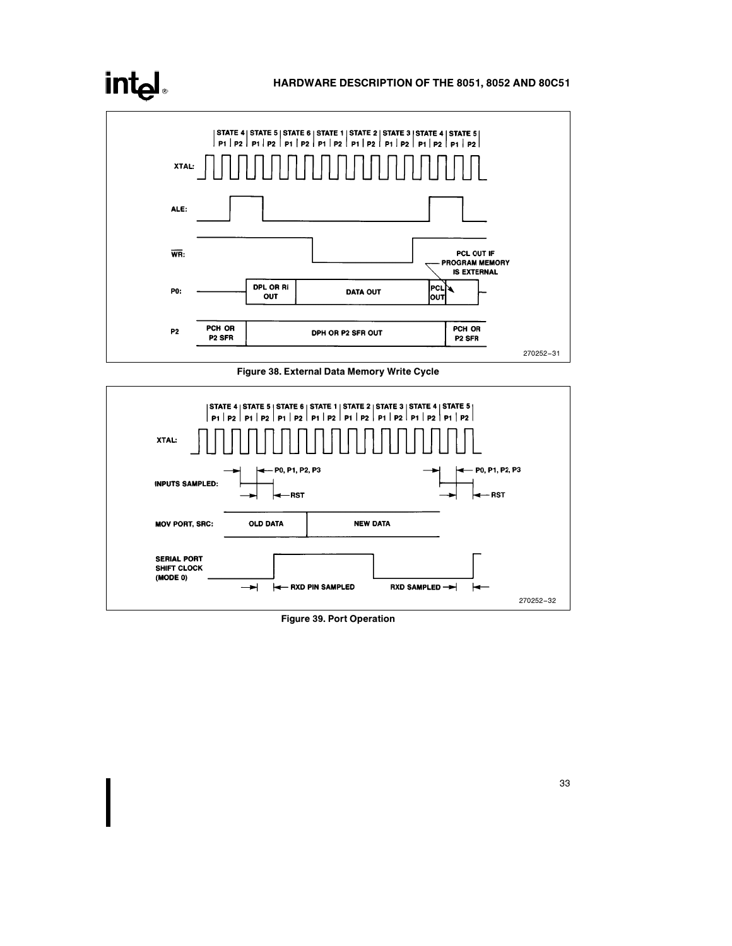# intel

# HARDWARE DESCRIPTION OF THE 8051, 8052 AND 80C51



Figure 38. External Data Memory Write Cycle



Figure 39. Port Operation